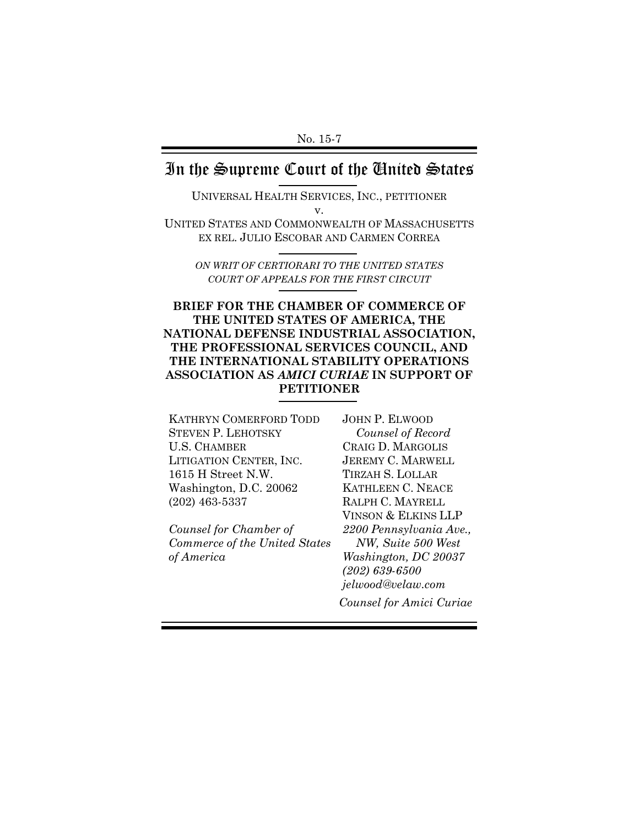## In the Supreme Court of the United States

UNIVERSAL HEALTH SERVICES, INC., PETITIONER v.

UNITED STATES AND COMMONWEALTH OF MASSACHUSETTS EX REL. JULIO ESCOBAR AND CARMEN CORREA

*ON WRIT OF CERTIORARI TO THE UNITED STATES COURT OF APPEALS FOR THE FIRST CIRCUIT*

#### **BRIEF FOR THE CHAMBER OF COMMERCE OF THE UNITED STATES OF AMERICA, THE NATIONAL DEFENSE INDUSTRIAL ASSOCIATION, THE PROFESSIONAL SERVICES COUNCIL, AND THE INTERNATIONAL STABILITY OPERATIONS ASSOCIATION AS** *AMICI CURIAE* **IN SUPPORT OF PETITIONER**

KATHRYN COMERFORD TODD STEVEN P. LEHOTSKY U.S. CHAMBER LITIGATION CENTER, INC. 1615 H Street N.W. Washington, D.C. 20062 (202) 463-5337

*Counsel for Chamber of Commerce of the United States of America*

JOHN P. ELWOOD *Counsel of Record*  CRAIG D. MARGOLIS JEREMY C. MARWELL TIRZAH S. LOLLAR KATHLEEN C. NEACE RALPH C. MAYRELL VINSON & ELKINS LLP *2200 Pennsylvania Ave., NW, Suite 500 West Washington, DC 20037 (202) 639-6500 jelwood@velaw.com Counsel for Amici Curiae*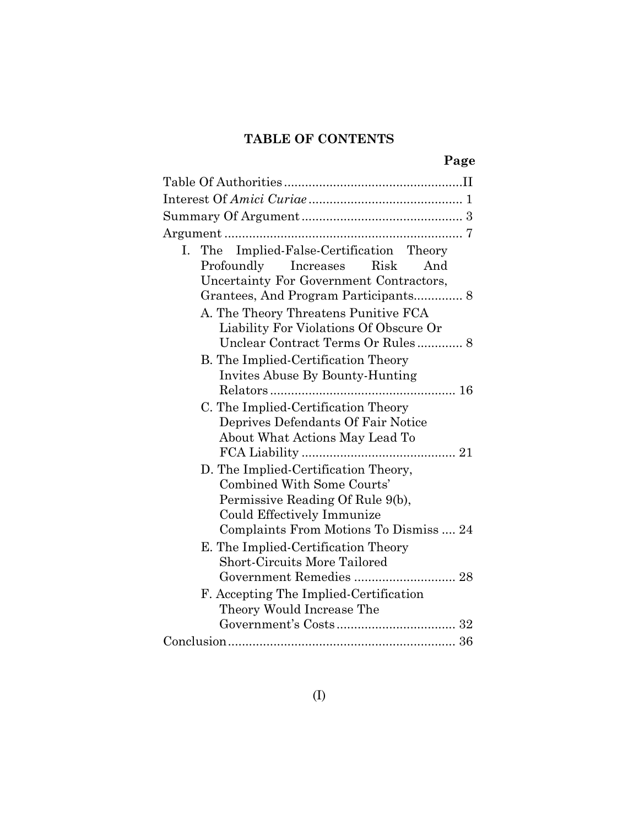## **TABLE OF CONTENTS**

|--|

| I. The Implied-False-Certification Theory                          |
|--------------------------------------------------------------------|
| Risk<br>Profoundly Increases<br>And                                |
| Uncertainty For Government Contractors,                            |
|                                                                    |
| A. The Theory Threatens Punitive FCA                               |
| Liability For Violations Of Obscure Or                             |
| Unclear Contract Terms Or Rules 8                                  |
| B. The Implied-Certification Theory                                |
| Invites Abuse By Bounty-Hunting                                    |
|                                                                    |
| C. The Implied-Certification Theory                                |
| Deprives Defendants Of Fair Notice                                 |
| About What Actions May Lead To                                     |
|                                                                    |
| D. The Implied-Certification Theory,<br>Combined With Some Courts' |
| Permissive Reading Of Rule 9(b),                                   |
| Could Effectively Immunize                                         |
| Complaints From Motions To Dismiss  24                             |
| E. The Implied-Certification Theory                                |
| <b>Short-Circuits More Tailored</b>                                |
| Government Remedies  28                                            |
| F. Accepting The Implied-Certification                             |
| Theory Would Increase The                                          |
|                                                                    |
|                                                                    |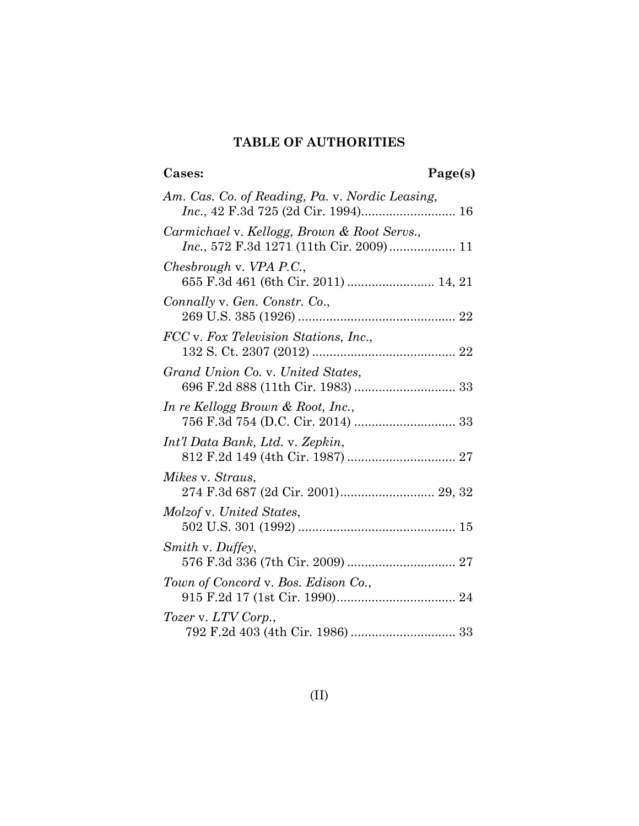## **TABLE OF AUTHORITIES**

## **Cases: Page(s)**

| Am. Cas. Co. of Reading, Pa. v. Nordic Leasing,                                                |
|------------------------------------------------------------------------------------------------|
| Carmichael v. Kellogg, Brown & Root Servs.,<br><i>Inc.</i> , 572 F.3d 1271 (11th Cir. 2009) 11 |
| Chesbrough v. VPA P.C.,<br>655 F.3d 461 (6th Cir. 2011)  14, 21                                |
| Connally v. Gen. Constr. Co.,                                                                  |
| FCC v. Fox Television Stations, Inc.,                                                          |
| Grand Union Co. v. United States,                                                              |
| In re Kellogg Brown & Root, Inc.,                                                              |
| Int'l Data Bank, Ltd. v. Zepkin,                                                               |
| Mikes v. Straus,<br>274 F.3d 687 (2d Cir. 2001) 29, 32                                         |
| Molzof v. United States,                                                                       |
| Smith v. Duffey,                                                                               |
| Town of Concord v. Bos. Edison Co.,                                                            |
| Tozer v. LTV Corp.,                                                                            |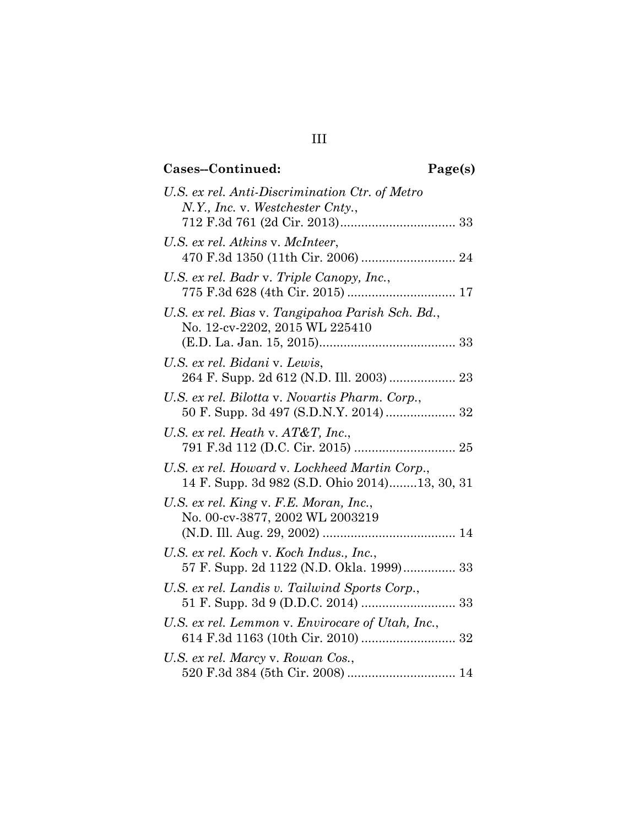## **Cases--Continued: Page(s)**

| U.S. ex rel. Anti-Discrimination Ctr. of Metro<br>N.Y., Inc. v. Westchester Cnty.,             |
|------------------------------------------------------------------------------------------------|
|                                                                                                |
| U.S. ex rel. Atkins v. McInteer,                                                               |
| U.S. ex rel. Badr v. Triple Canopy, Inc.,                                                      |
| U.S. ex rel. Bias v. Tangipahoa Parish Sch. Bd.,<br>No. 12-cv-2202, 2015 WL 225410             |
| U.S. ex rel. Bidani v. Lewis,                                                                  |
| U.S. ex rel. Bilotta v. Novartis Pharm. Corp.,<br>50 F. Supp. 3d 497 (S.D.N.Y. 2014) 32        |
| U.S. ex rel. Heath v. $AT\&T$ , Inc.,                                                          |
| U.S. ex rel. Howard v. Lockheed Martin Corp.,<br>14 F. Supp. 3d 982 (S.D. Ohio 2014)13, 30, 31 |
| U.S. ex rel. King v. F.E. Moran, Inc.,<br>No. 00-cv-3877, 2002 WL 2003219                      |
|                                                                                                |
| U.S. ex rel. Koch v. Koch Indus., Inc.,<br>57 F. Supp. 2d 1122 (N.D. Okla. 1999) 33            |
| U.S. ex rel. Landis v. Tailwind Sports Corp.,                                                  |
| U.S. ex rel. Lemmon v. Envirocare of Utah, Inc.,                                               |
| U.S. ex rel. Marcy v. Rowan Cos.,                                                              |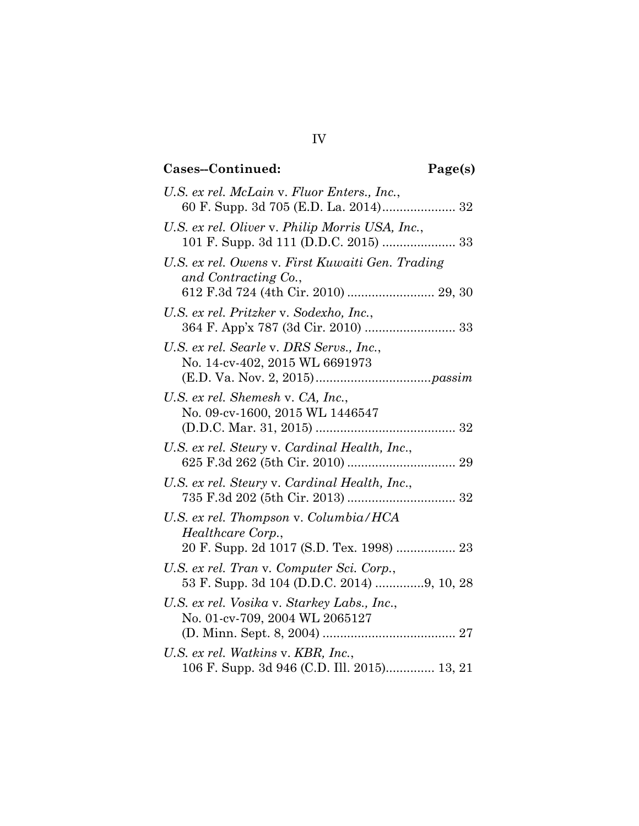## **Cases--Continued: Page(s)**

| U.S. ex rel. McLain v. Fluor Enters., Inc.,                                             |
|-----------------------------------------------------------------------------------------|
|                                                                                         |
| U.S. ex rel. Oliver v. Philip Morris USA, Inc.,                                         |
| U.S. ex rel. Owens v. First Kuwaiti Gen. Trading<br>and Contracting Co.,                |
| U.S. ex rel. Pritzker v. Sodexho, Inc.,                                                 |
| U.S. ex rel. Searle v. DRS Servs., Inc.,<br>No. 14-cv-402, 2015 WL 6691973              |
| U.S. ex rel. Shemesh v. CA, Inc.,<br>No. 09-cv-1600, 2015 WL 1446547                    |
| U.S. ex rel. Steury v. Cardinal Health, Inc.,                                           |
| U.S. ex rel. Steury v. Cardinal Health, Inc.,                                           |
| U.S. ex rel. Thompson v. Columbia/HCA<br>Healthcare Corp.,                              |
|                                                                                         |
| U.S. ex rel. Tran v. Computer Sci. Corp.,<br>53 F. Supp. 3d 104 (D.D.C. 2014) 9, 10, 28 |
| U.S. ex rel. Vosika v. Starkey Labs., Inc.,<br>No. 01-cv-709, 2004 WL 2065127           |
| U.S. ex rel. Watkins v. KBR, Inc.,<br>106 F. Supp. 3d 946 (C.D. Ill. 2015) 13, 21       |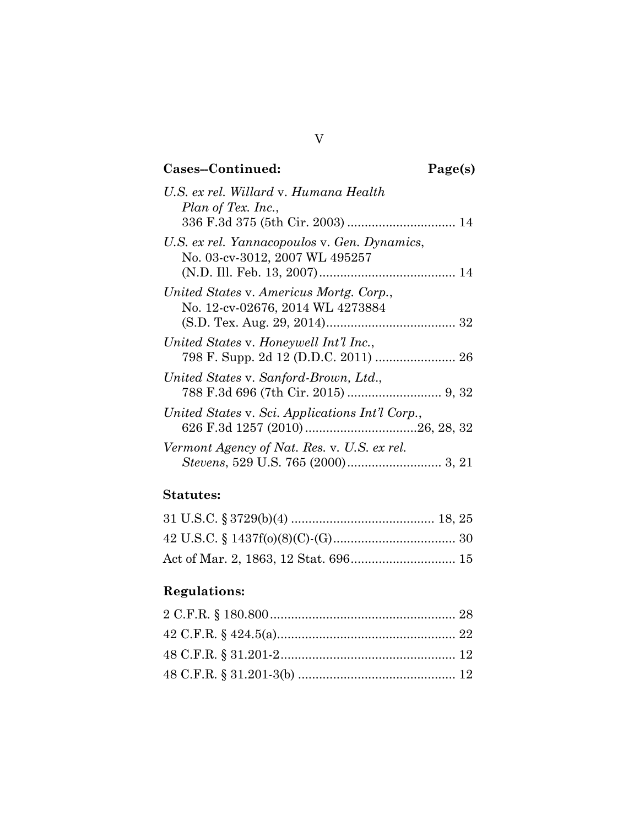## **Cases--Continued: Page(s)**

| U.S. ex rel. Willard v. Humana Health<br>Plan of Tex. Inc.,                    |
|--------------------------------------------------------------------------------|
| U.S. ex rel. Yannacopoulos v. Gen. Dynamics,<br>No. 03-cv-3012, 2007 WL 495257 |
| United States v. Americus Mortg. Corp.,<br>No. 12-cv-02676, 2014 WL 4273884    |
| United States v. Honeywell Int'l Inc.,                                         |
| United States v. Sanford-Brown, Ltd.,                                          |
| United States v. Sci. Applications Int'l Corp.,                                |
| Vermont Agency of Nat. Res. v. U.S. ex rel.                                    |

## **Statutes:**

## **Regulations:**

V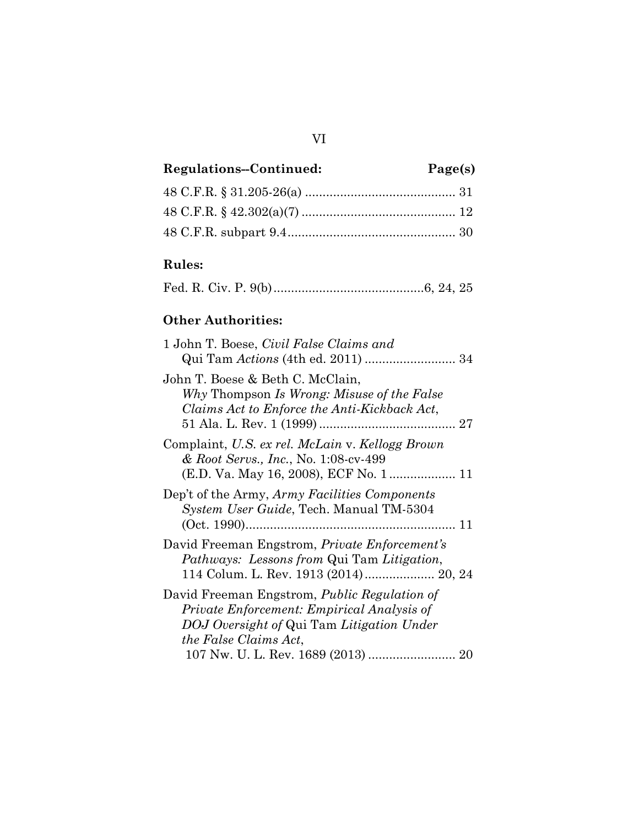## VI

## **Regulations--Continued: Page(s)**

## **Rules:**

## **Other Authorities:**

| 1 John T. Boese, <i>Civil False Claims and</i><br>Qui Tam <i>Actions</i> (4th ed. 2011)  34                                                                             |  |
|-------------------------------------------------------------------------------------------------------------------------------------------------------------------------|--|
| John T. Boese & Beth C. McClain,<br>Why Thompson Is Wrong: Misuse of the False<br>Claims Act to Enforce the Anti-Kickback Act,                                          |  |
| Complaint, U.S. ex rel. McLain v. Kellogg Brown<br>& Root Servs., Inc., No. 1:08-cv-499                                                                                 |  |
| Dep't of the Army, Army Facilities Components<br>System User Guide, Tech. Manual TM-5304                                                                                |  |
| David Freeman Engstrom, Private Enforcement's<br><i>Pathways: Lessons from Qui Tam Litigation,</i><br>114 Colum. L. Rev. 1913 (2014) 20, 24                             |  |
| David Freeman Engstrom, <i>Public Regulation of</i><br>Private Enforcement: Empirical Analysis of<br>DOJ Oversight of Qui Tam Litigation Under<br>the False Claims Act, |  |
| 107 Nw. U. L. Rev. 1689 (2013)  20                                                                                                                                      |  |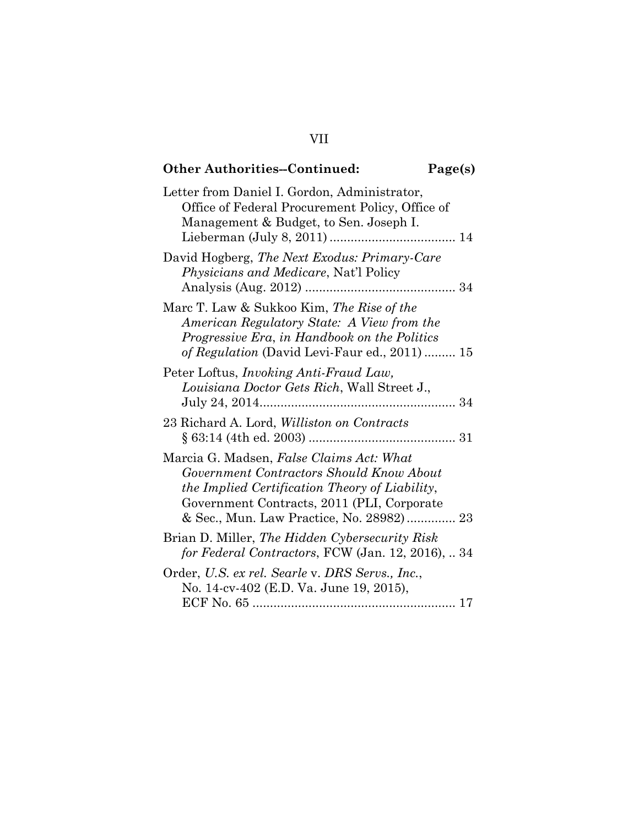# **Other Authorities--Continued: Page(s)**

| Letter from Daniel I. Gordon, Administrator,<br>Office of Federal Procurement Policy, Office of<br>Management & Budget, to Sen. Joseph I.                                                                                        |
|----------------------------------------------------------------------------------------------------------------------------------------------------------------------------------------------------------------------------------|
| David Hogberg, The Next Exodus: Primary-Care<br><i>Physicians and Medicare, Nat'l Policy</i>                                                                                                                                     |
| Marc T. Law & Sukkoo Kim, The Rise of the<br>American Regulatory State: A View from the<br>Progressive Era, in Handbook on the Politics<br>of Regulation (David Levi-Faur ed., 2011)  15                                         |
| Peter Loftus, <i>Invoking Anti-Fraud Law</i> ,<br>Louisiana Doctor Gets Rich, Wall Street J.,                                                                                                                                    |
| 23 Richard A. Lord, <i>Williston on Contracts</i><br>$\S 63:14$ (4th ed. 2003)                                                                                                                                                   |
| Marcia G. Madsen, False Claims Act: What<br>Government Contractors Should Know About<br>the Implied Certification Theory of Liability,<br>Government Contracts, 2011 (PLI, Corporate<br>& Sec., Mun. Law Practice, No. 28982) 23 |
| Brian D. Miller, The Hidden Cybersecurity Risk<br>for Federal Contractors, FCW (Jan. 12, 2016),  34                                                                                                                              |
| Order, U.S. ex rel. Searle v. DRS Servs., Inc.,<br>No. 14-cv-402 (E.D. Va. June 19, 2015),                                                                                                                                       |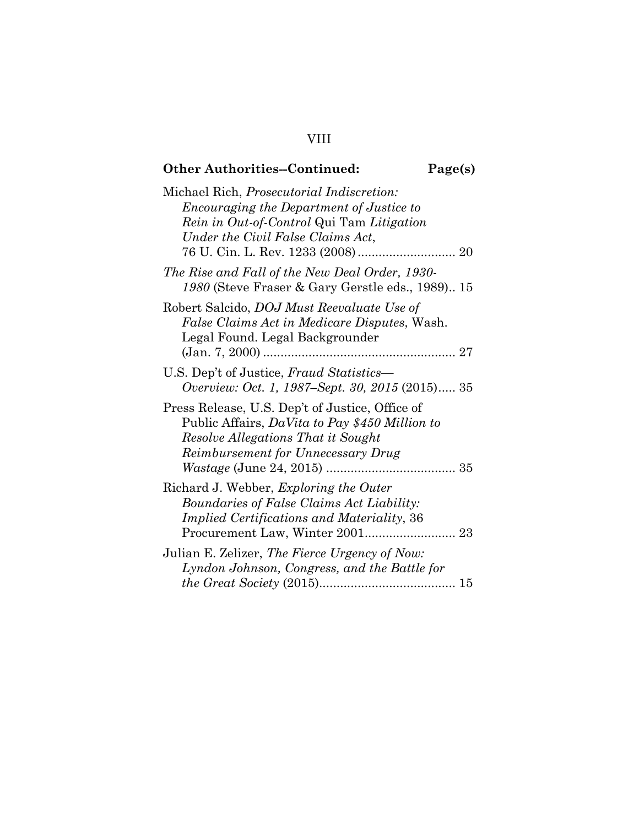## VIII

| <b>Other Authorities--Continued:</b>                                                                                                                                               | Page(s) |
|------------------------------------------------------------------------------------------------------------------------------------------------------------------------------------|---------|
| Michael Rich, Prosecutorial Indiscretion:<br><i>Encouraging the Department of Justice to</i><br>Rein in Out-of-Control Qui Tam Litigation<br>Under the Civil False Claims Act,     |         |
| The Rise and Fall of the New Deal Order, 1930-<br>1980 (Steve Fraser & Gary Gerstle eds., 1989) 15                                                                                 |         |
| Robert Salcido, DOJ Must Reevaluate Use of<br>False Claims Act in Medicare Disputes, Wash.<br>Legal Found. Legal Backgrounder                                                      |         |
| U.S. Dep't of Justice, Fraud Statistics—<br>Overview: Oct. 1, 1987–Sept. 30, 2015 (2015) 35                                                                                        |         |
| Press Release, U.S. Dep't of Justice, Office of<br>Public Affairs, DaVita to Pay \$450 Million to<br>Resolve Allegations That it Sought<br>Reimbursement for Unnecessary Drug      |         |
| Richard J. Webber, <i>Exploring the Outer</i><br>Boundaries of False Claims Act Liability:<br><i>Implied Certifications and Materiality, 36</i><br>Procurement Law, Winter 2001 23 |         |
| Julian E. Zelizer, The Fierce Urgency of Now:<br>Lyndon Johnson, Congress, and the Battle for                                                                                      |         |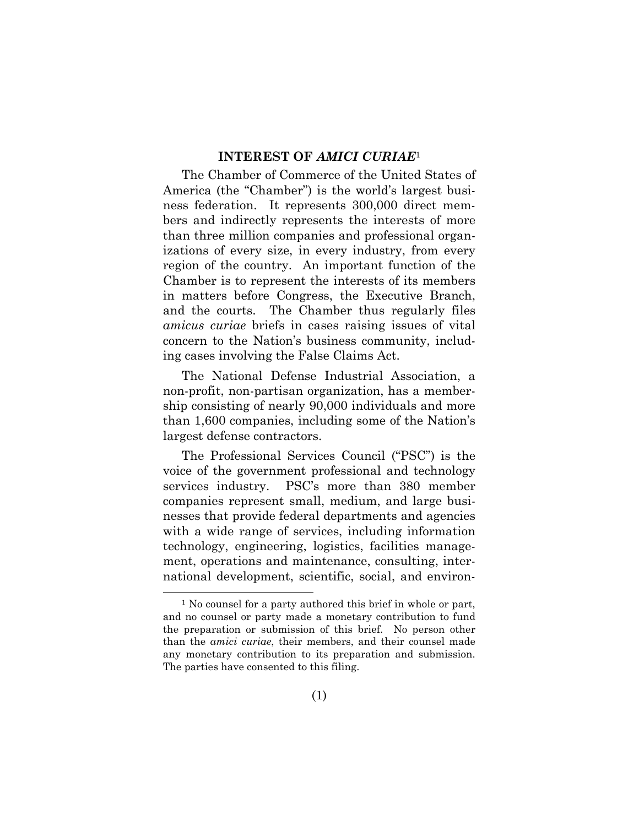#### **INTEREST OF** *AMICI CURIAE*<sup>1</sup>

The Chamber of Commerce of the United States of America (the "Chamber") is the world's largest business federation. It represents 300,000 direct members and indirectly represents the interests of more than three million companies and professional organizations of every size, in every industry, from every region of the country. An important function of the Chamber is to represent the interests of its members in matters before Congress, the Executive Branch, and the courts. The Chamber thus regularly files *amicus curiae* briefs in cases raising issues of vital concern to the Nation's business community, including cases involving the False Claims Act.

The National Defense Industrial Association, a non-profit, non-partisan organization, has a membership consisting of nearly 90,000 individuals and more than 1,600 companies, including some of the Nation's largest defense contractors.

The Professional Services Council ("PSC") is the voice of the government professional and technology services industry. PSC's more than 380 member companies represent small, medium, and large businesses that provide federal departments and agencies with a wide range of services, including information technology, engineering, logistics, facilities management, operations and maintenance, consulting, international development, scientific, social, and environ-

<sup>&</sup>lt;sup>1</sup> No counsel for a party authored this brief in whole or part, and no counsel or party made a monetary contribution to fund the preparation or submission of this brief. No person other than the *amici curiae*, their members, and their counsel made any monetary contribution to its preparation and submission. The parties have consented to this filing.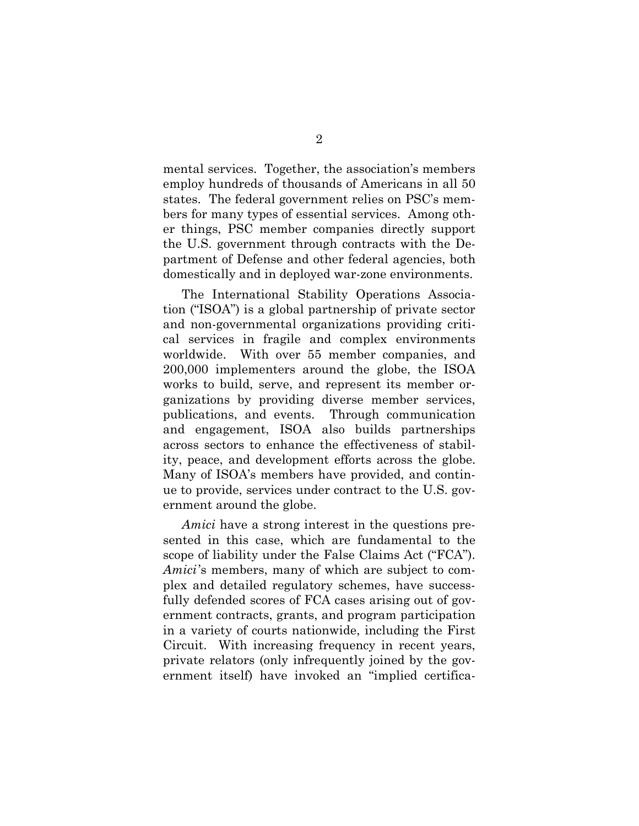mental services. Together, the association's members employ hundreds of thousands of Americans in all 50 states. The federal government relies on PSC's members for many types of essential services. Among other things, PSC member companies directly support the U.S. government through contracts with the Department of Defense and other federal agencies, both domestically and in deployed war-zone environments.

The International Stability Operations Association ("ISOA") is a global partnership of private sector and non-governmental organizations providing critical services in fragile and complex environments worldwide. With over 55 member companies, and 200,000 implementers around the globe, the ISOA works to build, serve, and represent its member organizations by providing diverse member services, publications, and events. Through communication and engagement, ISOA also builds partnerships across sectors to enhance the effectiveness of stability, peace, and development efforts across the globe. Many of ISOA's members have provided, and continue to provide, services under contract to the U.S. government around the globe.

*Amici* have a strong interest in the questions presented in this case, which are fundamental to the scope of liability under the False Claims Act ("FCA"). *Amici*'s members, many of which are subject to complex and detailed regulatory schemes, have successfully defended scores of FCA cases arising out of government contracts, grants, and program participation in a variety of courts nationwide, including the First Circuit. With increasing frequency in recent years, private relators (only infrequently joined by the government itself) have invoked an "implied certifica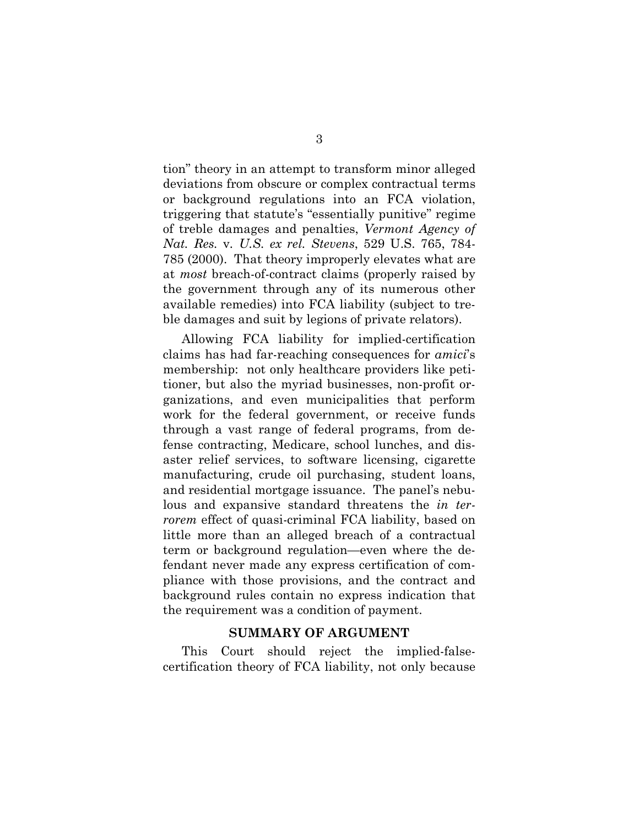tion" theory in an attempt to transform minor alleged deviations from obscure or complex contractual terms or background regulations into an FCA violation, triggering that statute's "essentially punitive" regime of treble damages and penalties, *Vermont Agency of Nat. Res.* v*. U.S. ex rel. Stevens*, 529 U.S. 765, 784- 785 (2000). That theory improperly elevates what are at *most* breach-of-contract claims (properly raised by the government through any of its numerous other available remedies) into FCA liability (subject to treble damages and suit by legions of private relators).

Allowing FCA liability for implied-certification claims has had far-reaching consequences for *amici*'s membership: not only healthcare providers like petitioner, but also the myriad businesses, non-profit organizations, and even municipalities that perform work for the federal government, or receive funds through a vast range of federal programs, from defense contracting, Medicare, school lunches, and disaster relief services, to software licensing, cigarette manufacturing, crude oil purchasing, student loans, and residential mortgage issuance. The panel's nebulous and expansive standard threatens the *in terrorem* effect of quasi-criminal FCA liability, based on little more than an alleged breach of a contractual term or background regulation—even where the defendant never made any express certification of compliance with those provisions, and the contract and background rules contain no express indication that the requirement was a condition of payment.

#### **SUMMARY OF ARGUMENT**

This Court should reject the implied-falsecertification theory of FCA liability, not only because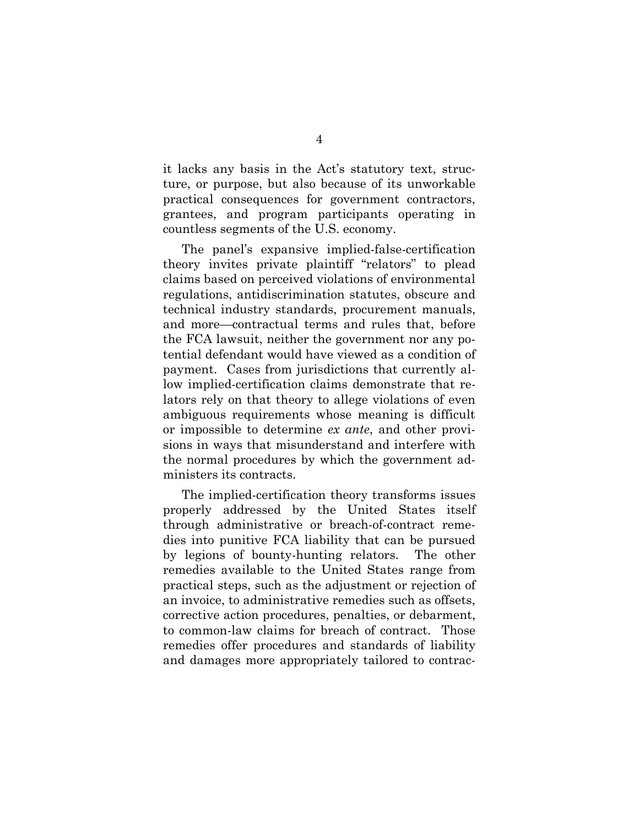it lacks any basis in the Act's statutory text, structure, or purpose, but also because of its unworkable practical consequences for government contractors, grantees, and program participants operating in countless segments of the U.S. economy.

The panel's expansive implied-false-certification theory invites private plaintiff "relators" to plead claims based on perceived violations of environmental regulations, antidiscrimination statutes, obscure and technical industry standards, procurement manuals, and more—contractual terms and rules that, before the FCA lawsuit, neither the government nor any potential defendant would have viewed as a condition of payment. Cases from jurisdictions that currently allow implied-certification claims demonstrate that relators rely on that theory to allege violations of even ambiguous requirements whose meaning is difficult or impossible to determine *ex ante*, and other provisions in ways that misunderstand and interfere with the normal procedures by which the government administers its contracts.

The implied-certification theory transforms issues properly addressed by the United States itself through administrative or breach-of-contract remedies into punitive FCA liability that can be pursued by legions of bounty-hunting relators. The other remedies available to the United States range from practical steps, such as the adjustment or rejection of an invoice, to administrative remedies such as offsets, corrective action procedures, penalties, or debarment, to common-law claims for breach of contract. Those remedies offer procedures and standards of liability and damages more appropriately tailored to contrac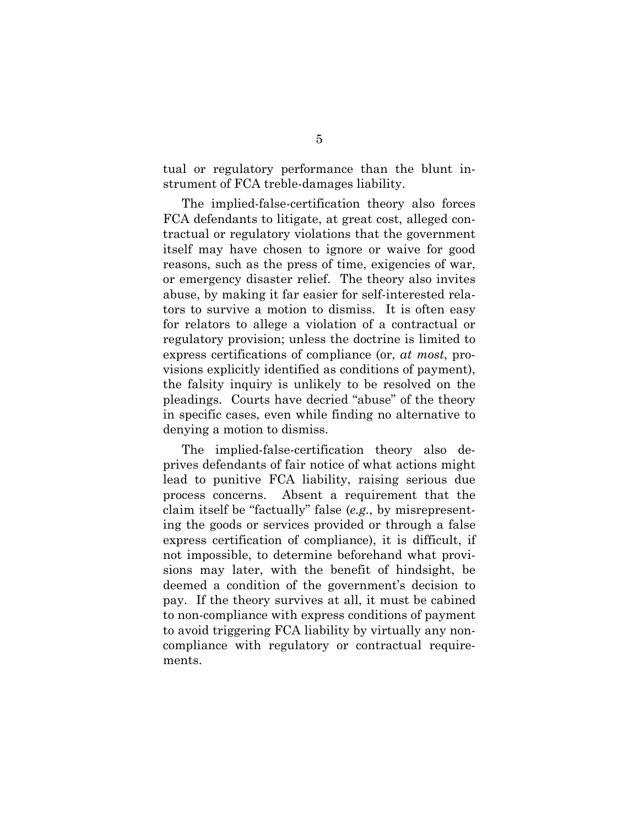tual or regulatory performance than the blunt instrument of FCA treble-damages liability.

The implied-false-certification theory also forces FCA defendants to litigate, at great cost, alleged contractual or regulatory violations that the government itself may have chosen to ignore or waive for good reasons, such as the press of time, exigencies of war, or emergency disaster relief. The theory also invites abuse, by making it far easier for self-interested relators to survive a motion to dismiss. It is often easy for relators to allege a violation of a contractual or regulatory provision; unless the doctrine is limited to express certifications of compliance (or, *at most*, provisions explicitly identified as conditions of payment), the falsity inquiry is unlikely to be resolved on the pleadings. Courts have decried "abuse" of the theory in specific cases, even while finding no alternative to denying a motion to dismiss.

The implied-false-certification theory also deprives defendants of fair notice of what actions might lead to punitive FCA liability, raising serious due process concerns. Absent a requirement that the claim itself be "factually" false (*e.g.*, by misrepresenting the goods or services provided or through a false express certification of compliance), it is difficult, if not impossible, to determine beforehand what provisions may later, with the benefit of hindsight, be deemed a condition of the government's decision to pay. If the theory survives at all, it must be cabined to non-compliance with express conditions of payment to avoid triggering FCA liability by virtually any noncompliance with regulatory or contractual requirements.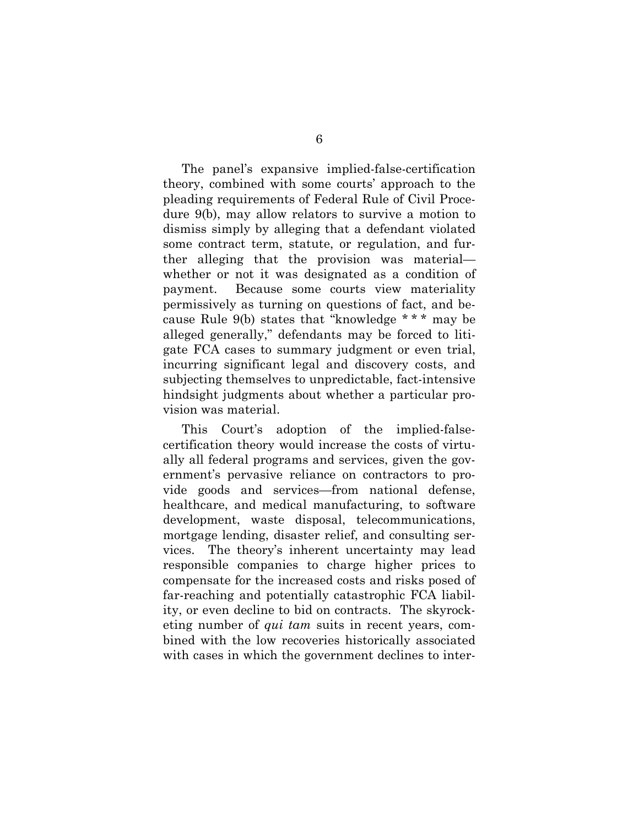The panel's expansive implied-false-certification theory, combined with some courts' approach to the pleading requirements of Federal Rule of Civil Procedure 9(b), may allow relators to survive a motion to dismiss simply by alleging that a defendant violated some contract term, statute, or regulation, and further alleging that the provision was material whether or not it was designated as a condition of payment. Because some courts view materiality permissively as turning on questions of fact, and because Rule 9(b) states that "knowledge \* \* \* may be alleged generally," defendants may be forced to litigate FCA cases to summary judgment or even trial, incurring significant legal and discovery costs, and subjecting themselves to unpredictable, fact-intensive hindsight judgments about whether a particular provision was material.

This Court's adoption of the implied-falsecertification theory would increase the costs of virtually all federal programs and services, given the government's pervasive reliance on contractors to provide goods and services—from national defense, healthcare, and medical manufacturing, to software development, waste disposal, telecommunications, mortgage lending, disaster relief, and consulting services. The theory's inherent uncertainty may lead responsible companies to charge higher prices to compensate for the increased costs and risks posed of far-reaching and potentially catastrophic FCA liability, or even decline to bid on contracts. The skyrocketing number of *qui tam* suits in recent years, combined with the low recoveries historically associated with cases in which the government declines to inter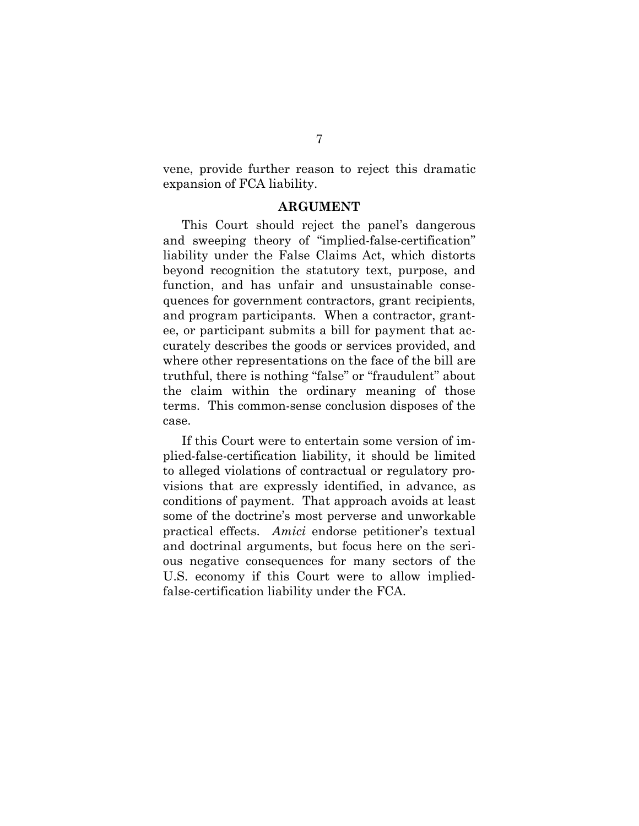vene, provide further reason to reject this dramatic expansion of FCA liability.

#### **ARGUMENT**

This Court should reject the panel's dangerous and sweeping theory of "implied-false-certification" liability under the False Claims Act, which distorts beyond recognition the statutory text, purpose, and function, and has unfair and unsustainable consequences for government contractors, grant recipients, and program participants. When a contractor, grantee, or participant submits a bill for payment that accurately describes the goods or services provided, and where other representations on the face of the bill are truthful, there is nothing "false" or "fraudulent" about the claim within the ordinary meaning of those terms. This common-sense conclusion disposes of the case.

If this Court were to entertain some version of implied-false-certification liability, it should be limited to alleged violations of contractual or regulatory provisions that are expressly identified, in advance, as conditions of payment. That approach avoids at least some of the doctrine's most perverse and unworkable practical effects. *Amici* endorse petitioner's textual and doctrinal arguments, but focus here on the serious negative consequences for many sectors of the U.S. economy if this Court were to allow impliedfalse-certification liability under the FCA.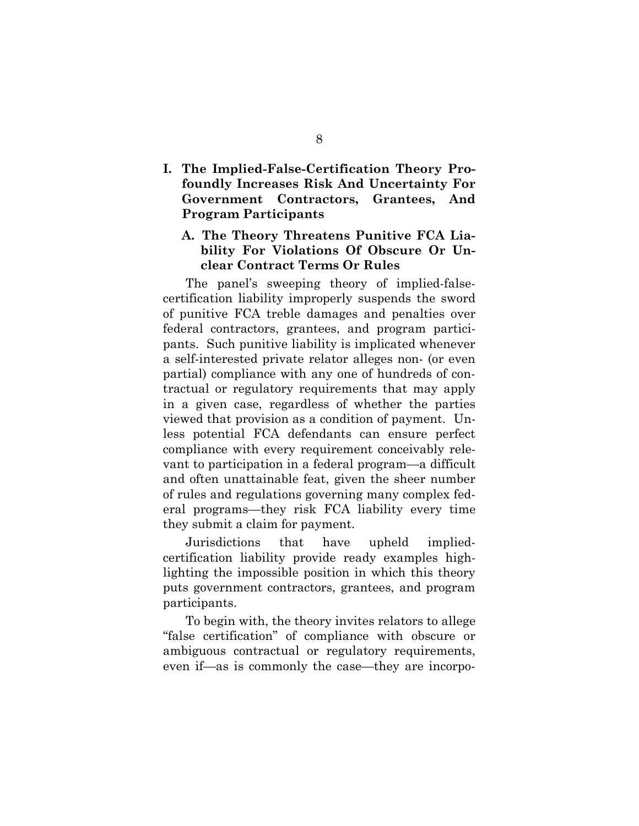**I. The Implied-False-Certification Theory Profoundly Increases Risk And Uncertainty For Government Contractors, Grantees, And Program Participants** 

### **A. The Theory Threatens Punitive FCA Liability For Violations Of Obscure Or Unclear Contract Terms Or Rules**

The panel's sweeping theory of implied-falsecertification liability improperly suspends the sword of punitive FCA treble damages and penalties over federal contractors, grantees, and program participants. Such punitive liability is implicated whenever a self-interested private relator alleges non- (or even partial) compliance with any one of hundreds of contractual or regulatory requirements that may apply in a given case, regardless of whether the parties viewed that provision as a condition of payment. Unless potential FCA defendants can ensure perfect compliance with every requirement conceivably relevant to participation in a federal program—a difficult and often unattainable feat, given the sheer number of rules and regulations governing many complex federal programs—they risk FCA liability every time they submit a claim for payment.

Jurisdictions that have upheld impliedcertification liability provide ready examples highlighting the impossible position in which this theory puts government contractors, grantees, and program participants.

To begin with, the theory invites relators to allege "false certification" of compliance with obscure or ambiguous contractual or regulatory requirements, even if—as is commonly the case—they are incorpo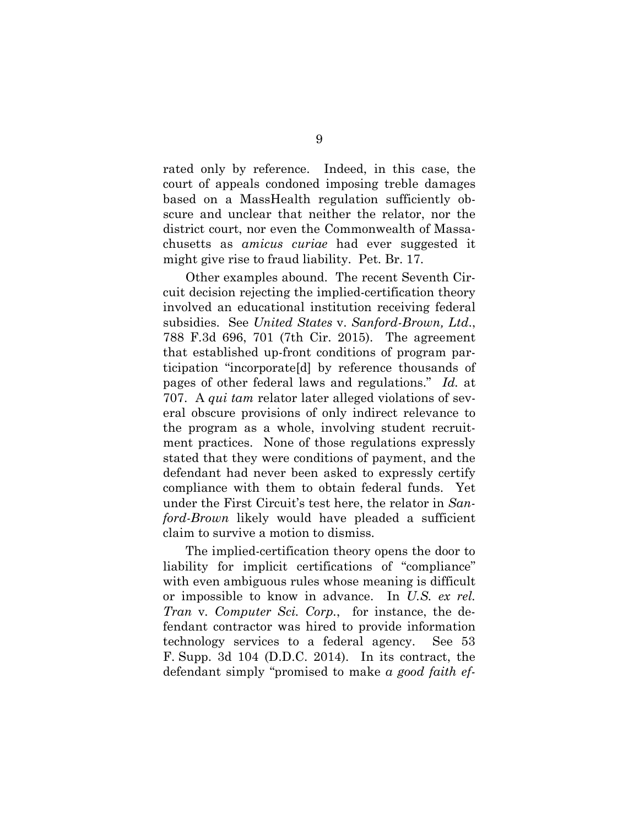rated only by reference. Indeed, in this case, the court of appeals condoned imposing treble damages based on a MassHealth regulation sufficiently obscure and unclear that neither the relator, nor the district court, nor even the Commonwealth of Massachusetts as *amicus curiae* had ever suggested it might give rise to fraud liability. Pet. Br. 17.

Other examples abound. The recent Seventh Circuit decision rejecting the implied-certification theory involved an educational institution receiving federal subsidies. See *United States* v. *Sanford-Brown, Ltd*., 788 F.3d 696, 701 (7th Cir. 2015). The agreement that established up-front conditions of program participation "incorporate[d] by reference thousands of pages of other federal laws and regulations." *Id.* at 707. A *qui tam* relator later alleged violations of several obscure provisions of only indirect relevance to the program as a whole, involving student recruitment practices. None of those regulations expressly stated that they were conditions of payment, and the defendant had never been asked to expressly certify compliance with them to obtain federal funds. Yet under the First Circuit's test here, the relator in *Sanford-Brown* likely would have pleaded a sufficient claim to survive a motion to dismiss.

The implied-certification theory opens the door to liability for implicit certifications of "compliance" with even ambiguous rules whose meaning is difficult or impossible to know in advance. In *U.S. ex rel. Tran* v*. Computer Sci. Corp.*, for instance, the defendant contractor was hired to provide information technology services to a federal agency. See 53 F. Supp. 3d 104 (D.D.C. 2014). In its contract, the defendant simply "promised to make *a good faith ef-*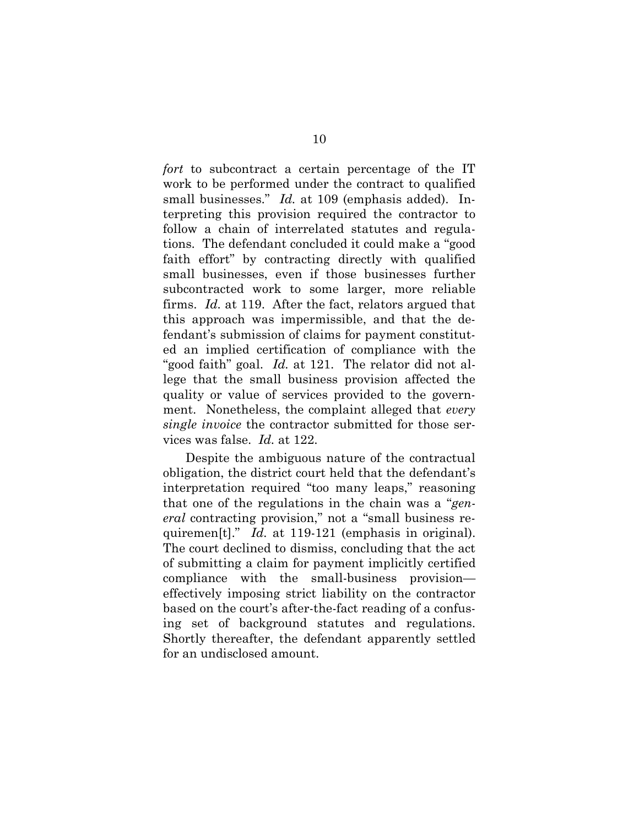*fort* to subcontract a certain percentage of the IT work to be performed under the contract to qualified small businesses." *Id.* at 109 (emphasis added). Interpreting this provision required the contractor to follow a chain of interrelated statutes and regulations. The defendant concluded it could make a "good faith effort" by contracting directly with qualified small businesses, even if those businesses further subcontracted work to some larger, more reliable firms. *Id.* at 119. After the fact, relators argued that this approach was impermissible, and that the defendant's submission of claims for payment constituted an implied certification of compliance with the "good faith" goal. *Id.* at 121. The relator did not allege that the small business provision affected the quality or value of services provided to the government. Nonetheless, the complaint alleged that *every single invoice* the contractor submitted for those services was false. *Id.* at 122.

Despite the ambiguous nature of the contractual obligation, the district court held that the defendant's interpretation required "too many leaps," reasoning that one of the regulations in the chain was a "*general* contracting provision," not a "small business requiremen<sup>[t]</sup>." *Id.* at 119-121 (emphasis in original). The court declined to dismiss, concluding that the act of submitting a claim for payment implicitly certified compliance with the small-business provision effectively imposing strict liability on the contractor based on the court's after-the-fact reading of a confusing set of background statutes and regulations. Shortly thereafter, the defendant apparently settled for an undisclosed amount.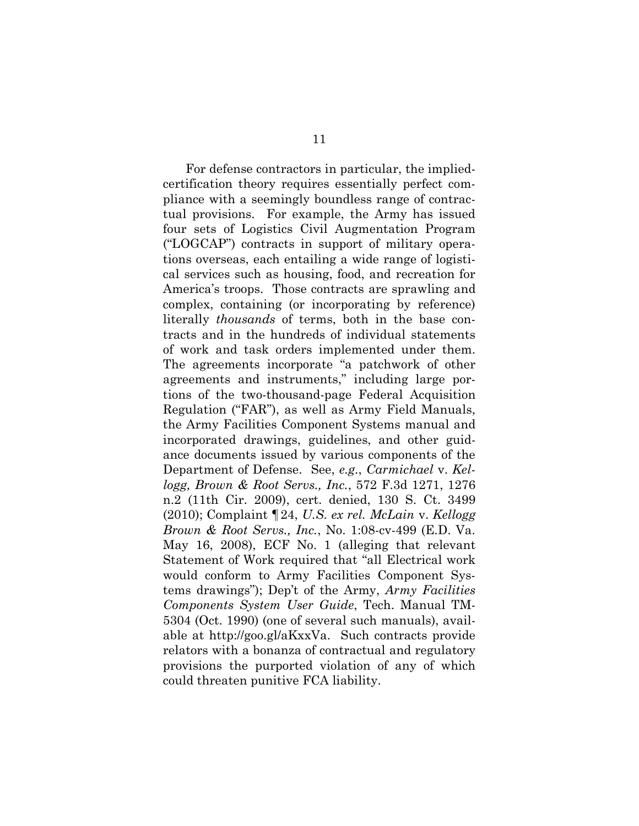For defense contractors in particular, the impliedcertification theory requires essentially perfect compliance with a seemingly boundless range of contractual provisions. For example, the Army has issued four sets of Logistics Civil Augmentation Program ("LOGCAP") contracts in support of military operations overseas, each entailing a wide range of logistical services such as housing, food, and recreation for America's troops. Those contracts are sprawling and complex, containing (or incorporating by reference) literally *thousands* of terms, both in the base contracts and in the hundreds of individual statements of work and task orders implemented under them. The agreements incorporate "a patchwork of other agreements and instruments," including large portions of the two-thousand-page Federal Acquisition Regulation ("FAR"), as well as Army Field Manuals, the Army Facilities Component Systems manual and incorporated drawings, guidelines, and other guidance documents issued by various components of the Department of Defense. See, *e.g.*, *Carmichael* v. *Kellogg, Brown & Root Servs., Inc.*, 572 F.3d 1271, 1276 n.2 (11th Cir. 2009), cert. denied, 130 S. Ct. 3499 (2010); Complaint ¶24, *U.S. ex rel. McLain* v. *Kellogg Brown & Root Servs., Inc.*, No. 1:08-cv-499 (E.D. Va. May 16, 2008), ECF No. 1 (alleging that relevant Statement of Work required that "all Electrical work would conform to Army Facilities Component Systems drawings"); Dep't of the Army, *Army Facilities Components System User Guide*, Tech. Manual TM-5304 (Oct. 1990) (one of several such manuals), available at http://goo.gl/aKxxVa. Such contracts provide relators with a bonanza of contractual and regulatory provisions the purported violation of any of which could threaten punitive FCA liability.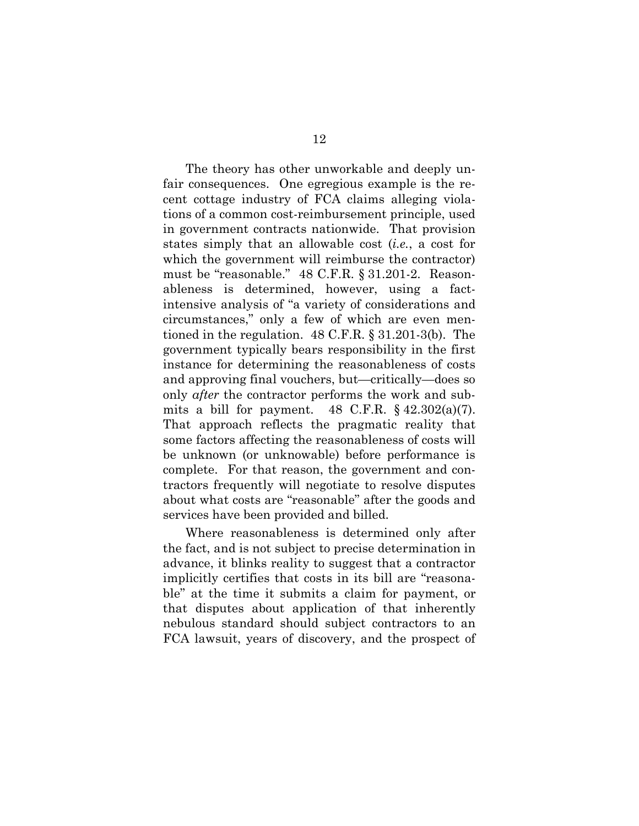The theory has other unworkable and deeply unfair consequences. One egregious example is the recent cottage industry of FCA claims alleging violations of a common cost-reimbursement principle, used in government contracts nationwide. That provision states simply that an allowable cost (*i.e.*, a cost for which the government will reimburse the contractor) must be "reasonable." 48 C.F.R. § 31.201-2. Reasonableness is determined, however, using a factintensive analysis of "a variety of considerations and circumstances," only a few of which are even mentioned in the regulation. 48 C.F.R. § 31.201-3(b). The government typically bears responsibility in the first instance for determining the reasonableness of costs and approving final vouchers, but—critically—does so only *after* the contractor performs the work and submits a bill for payment. 48 C.F.R.  $\S$  42.302(a)(7). That approach reflects the pragmatic reality that some factors affecting the reasonableness of costs will be unknown (or unknowable) before performance is complete. For that reason, the government and contractors frequently will negotiate to resolve disputes about what costs are "reasonable" after the goods and services have been provided and billed.

Where reasonableness is determined only after the fact, and is not subject to precise determination in advance, it blinks reality to suggest that a contractor implicitly certifies that costs in its bill are "reasonable" at the time it submits a claim for payment, or that disputes about application of that inherently nebulous standard should subject contractors to an FCA lawsuit, years of discovery, and the prospect of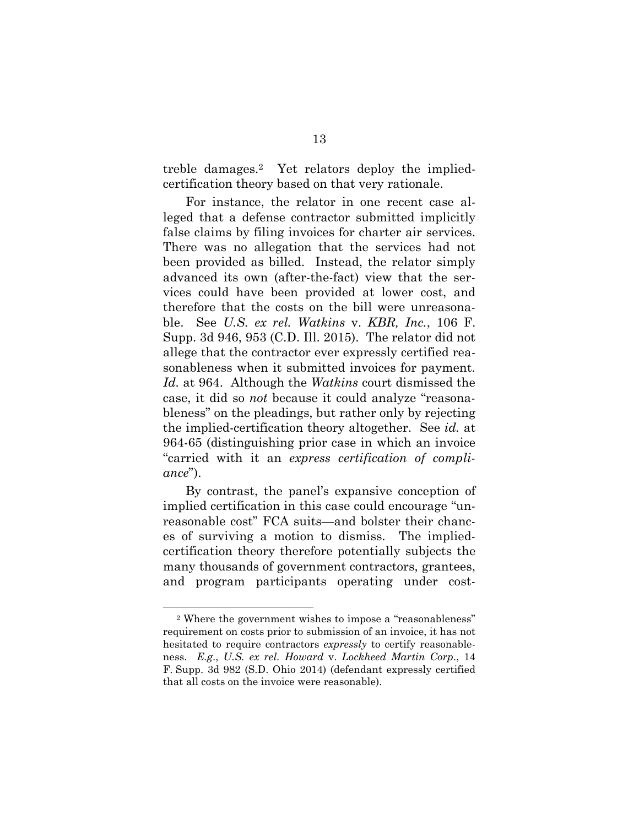treble damages.2 Yet relators deploy the impliedcertification theory based on that very rationale.

For instance, the relator in one recent case alleged that a defense contractor submitted implicitly false claims by filing invoices for charter air services. There was no allegation that the services had not been provided as billed. Instead, the relator simply advanced its own (after-the-fact) view that the services could have been provided at lower cost, and therefore that the costs on the bill were unreasonable. See *U.S. ex rel. Watkins* v. *KBR, Inc.*, 106 F. Supp. 3d 946, 953 (C.D. Ill. 2015). The relator did not allege that the contractor ever expressly certified reasonableness when it submitted invoices for payment. *Id.* at 964. Although the *Watkins* court dismissed the case, it did so *not* because it could analyze "reasonableness" on the pleadings, but rather only by rejecting the implied-certification theory altogether. See *id.* at 964-65 (distinguishing prior case in which an invoice "carried with it an *express certification of compliance*").

By contrast, the panel's expansive conception of implied certification in this case could encourage "unreasonable cost" FCA suits—and bolster their chances of surviving a motion to dismiss. The impliedcertification theory therefore potentially subjects the many thousands of government contractors, grantees, and program participants operating under cost-

<sup>2</sup> Where the government wishes to impose a "reasonableness" requirement on costs prior to submission of an invoice, it has not hesitated to require contractors *expressly* to certify reasonableness. *E.g*., *U.S. ex rel. Howard* v. *Lockheed Martin Corp*., 14 F. Supp. 3d 982 (S.D. Ohio 2014) (defendant expressly certified that all costs on the invoice were reasonable).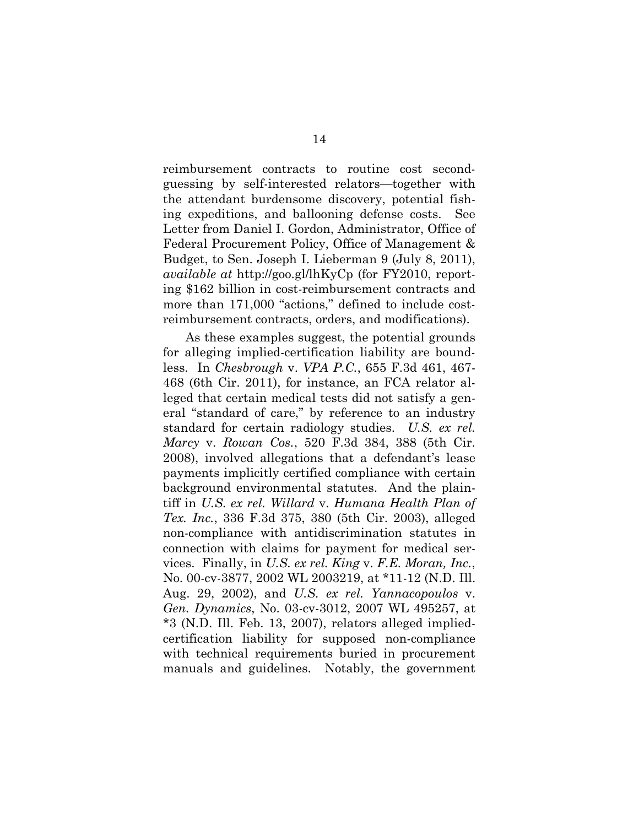reimbursement contracts to routine cost secondguessing by self-interested relators—together with the attendant burdensome discovery, potential fishing expeditions, and ballooning defense costs. See Letter from Daniel I. Gordon, Administrator, Office of Federal Procurement Policy, Office of Management & Budget, to Sen. Joseph I. Lieberman 9 (July 8, 2011), *available at* http://goo.gl/lhKyCp (for FY2010, reporting \$162 billion in cost-reimbursement contracts and more than 171,000 "actions," defined to include costreimbursement contracts, orders, and modifications).

As these examples suggest, the potential grounds for alleging implied-certification liability are boundless. In *Chesbrough* v. *VPA P.C.*, 655 F.3d 461, 467- 468 (6th Cir. 2011), for instance, an FCA relator alleged that certain medical tests did not satisfy a general "standard of care," by reference to an industry standard for certain radiology studies. *U.S. ex rel. Marcy* v. *Rowan Cos.*, 520 F.3d 384, 388 (5th Cir. 2008), involved allegations that a defendant's lease payments implicitly certified compliance with certain background environmental statutes. And the plaintiff in *U.S. ex rel. Willard* v. *Humana Health Plan of Tex. Inc.*, 336 F.3d 375, 380 (5th Cir. 2003), alleged non-compliance with antidiscrimination statutes in connection with claims for payment for medical services. Finally, in *U.S. ex rel. King* v. *F.E. Moran, Inc.*, No. 00-cv-3877, 2002 WL 2003219, at \*11-12 (N.D. Ill. Aug. 29, 2002), and *U.S. ex rel. Yannacopoulos* v. *Gen. Dynamics*, No. 03-cv-3012, 2007 WL 495257, at \*3 (N.D. Ill. Feb. 13, 2007), relators alleged impliedcertification liability for supposed non-compliance with technical requirements buried in procurement manuals and guidelines. Notably, the government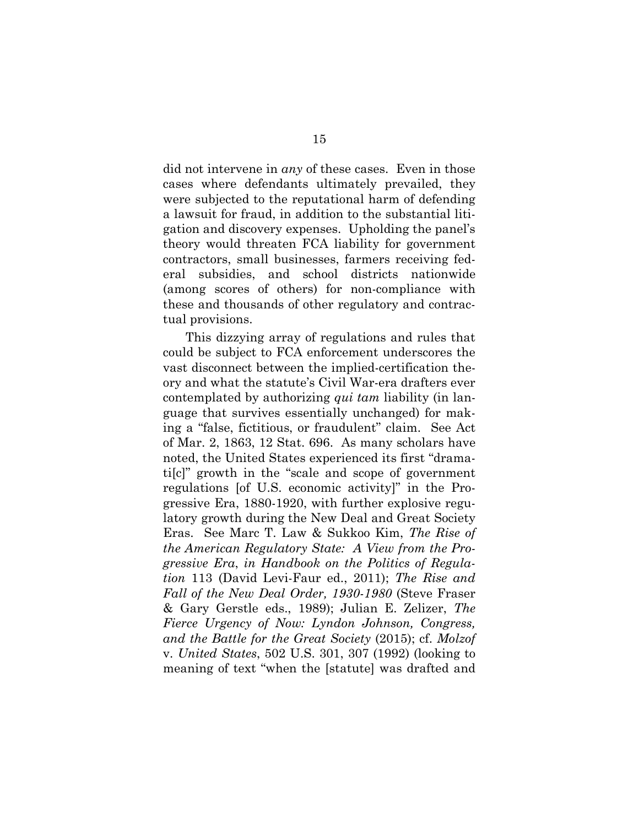did not intervene in *any* of these cases. Even in those cases where defendants ultimately prevailed, they were subjected to the reputational harm of defending a lawsuit for fraud, in addition to the substantial litigation and discovery expenses. Upholding the panel's theory would threaten FCA liability for government contractors, small businesses, farmers receiving federal subsidies, and school districts nationwide (among scores of others) for non-compliance with these and thousands of other regulatory and contractual provisions.

This dizzying array of regulations and rules that could be subject to FCA enforcement underscores the vast disconnect between the implied-certification theory and what the statute's Civil War-era drafters ever contemplated by authorizing *qui tam* liability (in language that survives essentially unchanged) for making a "false, fictitious, or fraudulent" claim. See Act of Mar. 2, 1863, 12 Stat. 696. As many scholars have noted, the United States experienced its first "dramati[c]" growth in the "scale and scope of government regulations [of U.S. economic activity]" in the Progressive Era, 1880-1920, with further explosive regulatory growth during the New Deal and Great Society Eras. See Marc T. Law & Sukkoo Kim, *The Rise of the American Regulatory State: A View from the Progressive Era*, *in Handbook on the Politics of Regulation* 113 (David Levi-Faur ed., 2011); *The Rise and Fall of the New Deal Order, 1930-1980* (Steve Fraser & Gary Gerstle eds., 1989); Julian E. Zelizer, *The Fierce Urgency of Now: Lyndon Johnson, Congress, and the Battle for the Great Society* (2015); cf. *Molzof* v. *United States*, 502 U.S. 301, 307 (1992) (looking to meaning of text "when the [statute] was drafted and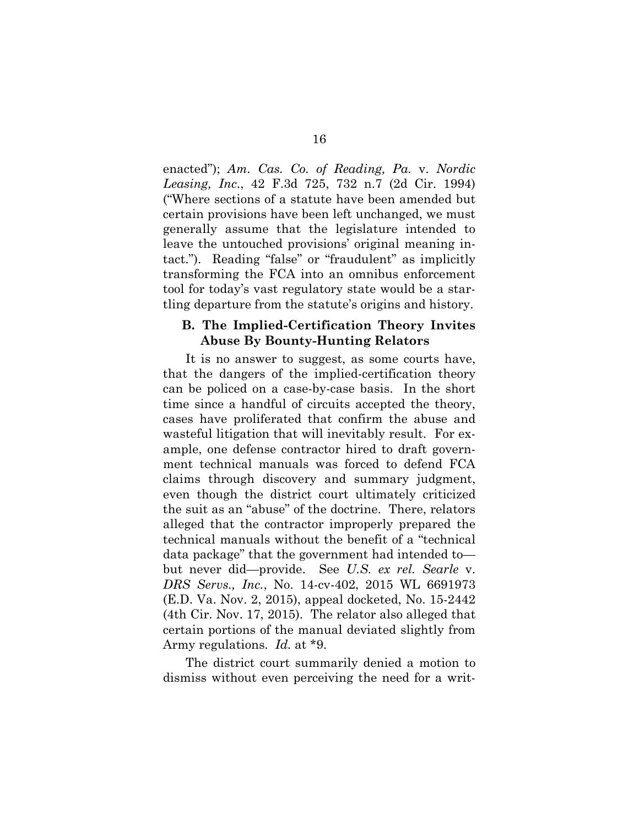enacted"); *Am. Cas. Co. of Reading, Pa.* v. *Nordic Leasing, Inc*., 42 F.3d 725, 732 n.7 (2d Cir. 1994) ("Where sections of a statute have been amended but certain provisions have been left unchanged, we must generally assume that the legislature intended to leave the untouched provisions' original meaning intact."). Reading "false" or "fraudulent" as implicitly transforming the FCA into an omnibus enforcement tool for today's vast regulatory state would be a startling departure from the statute's origins and history.

#### **B. The Implied-Certification Theory Invites Abuse By Bounty-Hunting Relators**

It is no answer to suggest, as some courts have, that the dangers of the implied-certification theory can be policed on a case-by-case basis. In the short time since a handful of circuits accepted the theory, cases have proliferated that confirm the abuse and wasteful litigation that will inevitably result. For example, one defense contractor hired to draft government technical manuals was forced to defend FCA claims through discovery and summary judgment, even though the district court ultimately criticized the suit as an "abuse" of the doctrine. There, relators alleged that the contractor improperly prepared the technical manuals without the benefit of a "technical data package" that the government had intended to but never did—provide. See *U.S. ex rel. Searle* v. *DRS Servs., Inc.*, No. 14-cv-402, 2015 WL 6691973 (E.D. Va. Nov. 2, 2015), appeal docketed, No. 15-2442 (4th Cir. Nov. 17, 2015). The relator also alleged that certain portions of the manual deviated slightly from Army regulations. *Id.* at \*9.

The district court summarily denied a motion to dismiss without even perceiving the need for a writ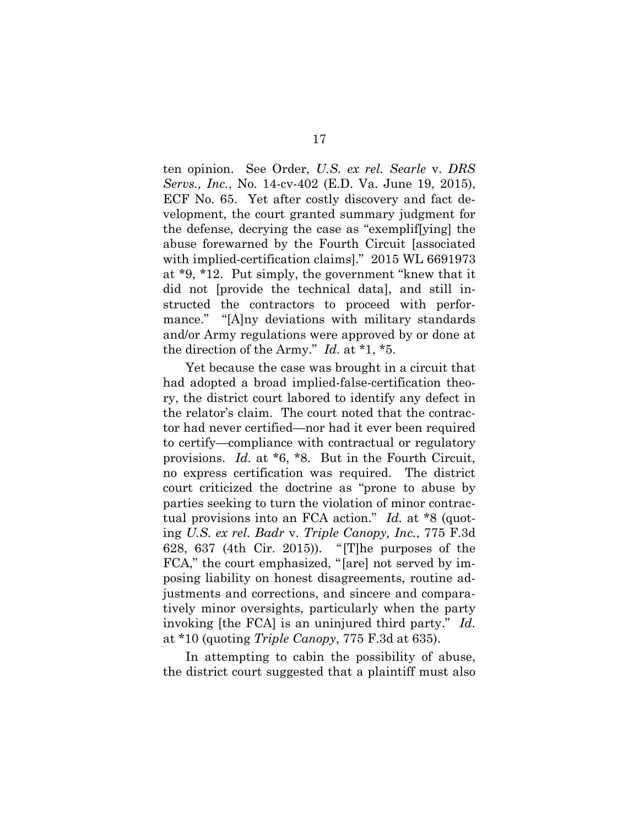ten opinion. See Order, *U.S. ex rel. Searle* v. *DRS Servs., Inc.*, No. 14-cv-402 (E.D. Va. June 19, 2015), ECF No. 65. Yet after costly discovery and fact development, the court granted summary judgment for the defense, decrying the case as "exemplif[ying] the abuse forewarned by the Fourth Circuit [associated with implied-certification claims]." 2015 WL 6691973 at \*9, \*12. Put simply, the government "knew that it did not [provide the technical data], and still instructed the contractors to proceed with performance." "[A]ny deviations with military standards and/or Army regulations were approved by or done at the direction of the Army." *Id.* at \*1, \*5.

Yet because the case was brought in a circuit that had adopted a broad implied-false-certification theory, the district court labored to identify any defect in the relator's claim. The court noted that the contractor had never certified—nor had it ever been required to certify—compliance with contractual or regulatory provisions. *Id.* at \*6, \*8. But in the Fourth Circuit, no express certification was required. The district court criticized the doctrine as "prone to abuse by parties seeking to turn the violation of minor contractual provisions into an FCA action." *Id.* at \*8 (quoting *U.S. ex rel. Badr* v. *Triple Canopy, Inc.*, 775 F.3d 628, 637 (4th Cir. 2015)). "[T]he purposes of the FCA," the court emphasized, "[are] not served by imposing liability on honest disagreements, routine adjustments and corrections, and sincere and comparatively minor oversights, particularly when the party invoking [the FCA] is an uninjured third party." *Id.* at \*10 (quoting *Triple Canopy*, 775 F.3d at 635).

In attempting to cabin the possibility of abuse, the district court suggested that a plaintiff must also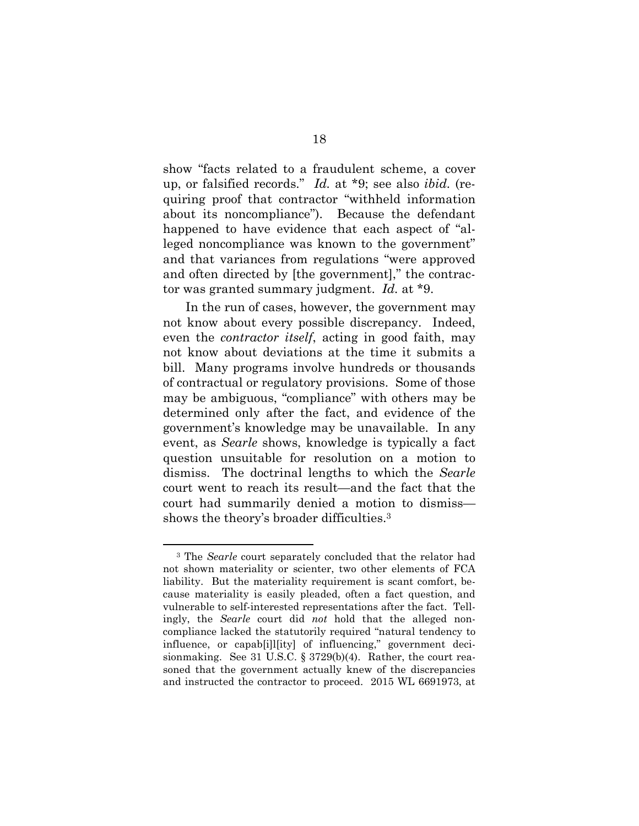show "facts related to a fraudulent scheme, a cover up, or falsified records." *Id.* at \*9; see also *ibid.* (requiring proof that contractor "withheld information about its noncompliance"). Because the defendant happened to have evidence that each aspect of "alleged noncompliance was known to the government" and that variances from regulations "were approved and often directed by [the government]," the contractor was granted summary judgment. *Id.* at \*9.

In the run of cases, however, the government may not know about every possible discrepancy. Indeed, even the *contractor itself*, acting in good faith, may not know about deviations at the time it submits a bill. Many programs involve hundreds or thousands of contractual or regulatory provisions. Some of those may be ambiguous, "compliance" with others may be determined only after the fact, and evidence of the government's knowledge may be unavailable. In any event, as *Searle* shows, knowledge is typically a fact question unsuitable for resolution on a motion to dismiss. The doctrinal lengths to which the *Searle*  court went to reach its result—and the fact that the court had summarily denied a motion to dismiss shows the theory's broader difficulties.<sup>3</sup>

<sup>&</sup>lt;sup>3</sup> The *Searle* court separately concluded that the relator had not shown materiality or scienter, two other elements of FCA liability. But the materiality requirement is scant comfort, because materiality is easily pleaded, often a fact question, and vulnerable to self-interested representations after the fact. Tellingly, the *Searle* court did *not* hold that the alleged noncompliance lacked the statutorily required "natural tendency to influence, or capab[i]l[ity] of influencing," government decisionmaking. See 31 U.S.C. § 3729(b)(4). Rather, the court reasoned that the government actually knew of the discrepancies and instructed the contractor to proceed. 2015 WL 6691973, at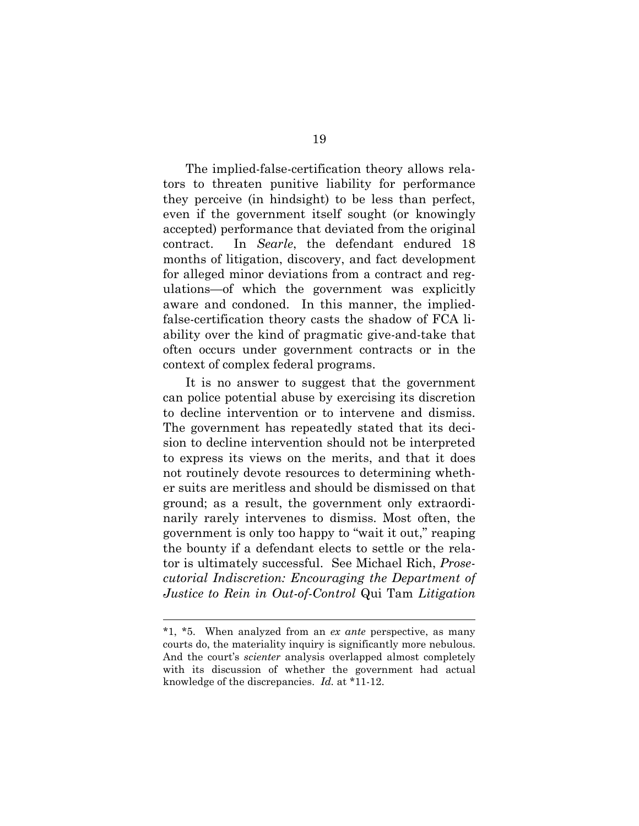The implied-false-certification theory allows relators to threaten punitive liability for performance they perceive (in hindsight) to be less than perfect, even if the government itself sought (or knowingly accepted) performance that deviated from the original contract. In *Searle*, the defendant endured 18 months of litigation, discovery, and fact development for alleged minor deviations from a contract and regulations—of which the government was explicitly aware and condoned. In this manner, the impliedfalse-certification theory casts the shadow of FCA liability over the kind of pragmatic give-and-take that often occurs under government contracts or in the context of complex federal programs.

It is no answer to suggest that the government can police potential abuse by exercising its discretion to decline intervention or to intervene and dismiss. The government has repeatedly stated that its decision to decline intervention should not be interpreted to express its views on the merits, and that it does not routinely devote resources to determining whether suits are meritless and should be dismissed on that ground; as a result, the government only extraordinarily rarely intervenes to dismiss. Most often, the government is only too happy to "wait it out," reaping the bounty if a defendant elects to settle or the relator is ultimately successful. See Michael Rich, *Prosecutorial Indiscretion: Encouraging the Department of Justice to Rein in Out-of-Control* Qui Tam *Litigation* 

<sup>\*1, \*5.</sup> When analyzed from an *ex ante* perspective, as many courts do, the materiality inquiry is significantly more nebulous. And the court's *scienter* analysis overlapped almost completely with its discussion of whether the government had actual knowledge of the discrepancies. *Id.* at \*11-12.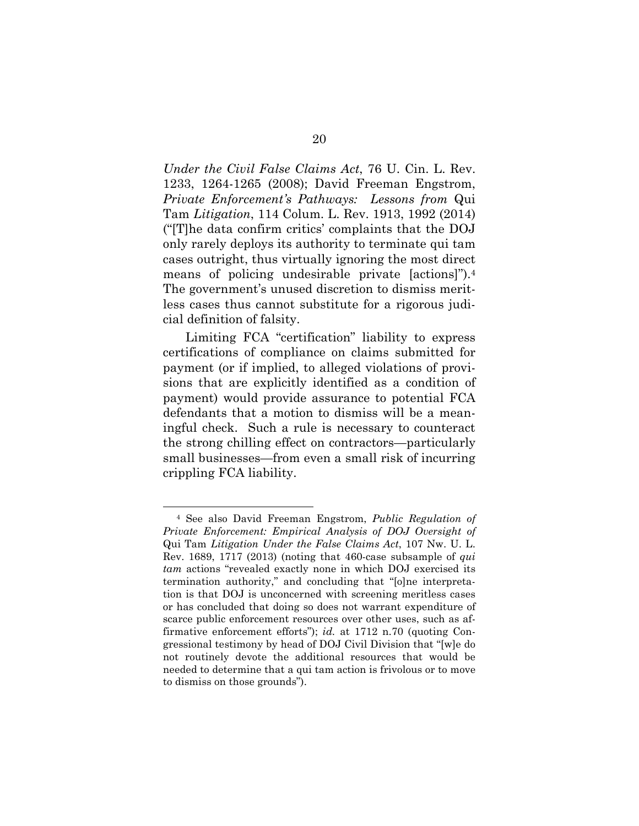*Under the Civil False Claims Act*, 76 U. Cin. L. Rev. 1233, 1264-1265 (2008); David Freeman Engstrom, *Private Enforcement's Pathways: Lessons from* Qui Tam *Litigation*, 114 Colum. L. Rev. 1913, 1992 (2014) ("[T]he data confirm critics' complaints that the DOJ only rarely deploys its authority to terminate qui tam cases outright, thus virtually ignoring the most direct means of policing undesirable private [actions]").<sup>4</sup> The government's unused discretion to dismiss meritless cases thus cannot substitute for a rigorous judicial definition of falsity.

Limiting FCA "certification" liability to express certifications of compliance on claims submitted for payment (or if implied, to alleged violations of provisions that are explicitly identified as a condition of payment) would provide assurance to potential FCA defendants that a motion to dismiss will be a meaningful check. Such a rule is necessary to counteract the strong chilling effect on contractors—particularly small businesses—from even a small risk of incurring crippling FCA liability.

<sup>4</sup> See also David Freeman Engstrom, *Public Regulation of Private Enforcement: Empirical Analysis of DOJ Oversight of* Qui Tam *Litigation Under the False Claims Act*, 107 Nw. U. L. Rev. 1689, 1717 (2013) (noting that 460-case subsample of *qui tam* actions "revealed exactly none in which DOJ exercised its termination authority," and concluding that "[o]ne interpretation is that DOJ is unconcerned with screening meritless cases or has concluded that doing so does not warrant expenditure of scarce public enforcement resources over other uses, such as affirmative enforcement efforts"); *id.* at 1712 n.70 (quoting Congressional testimony by head of DOJ Civil Division that "[w]e do not routinely devote the additional resources that would be needed to determine that a qui tam action is frivolous or to move to dismiss on those grounds").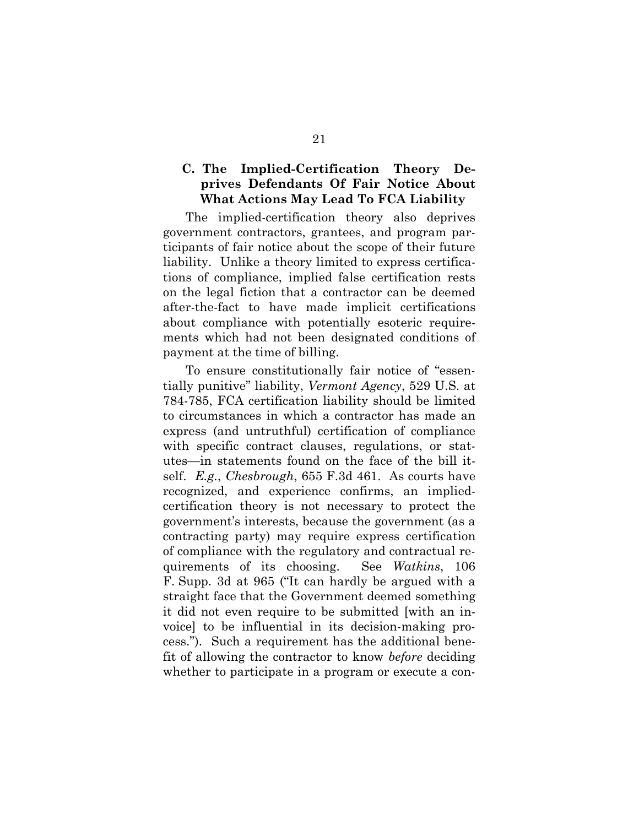### **C. The Implied-Certification Theory Deprives Defendants Of Fair Notice About What Actions May Lead To FCA Liability**

The implied-certification theory also deprives government contractors, grantees, and program participants of fair notice about the scope of their future liability. Unlike a theory limited to express certifications of compliance, implied false certification rests on the legal fiction that a contractor can be deemed after-the-fact to have made implicit certifications about compliance with potentially esoteric requirements which had not been designated conditions of payment at the time of billing.

To ensure constitutionally fair notice of "essentially punitive" liability, *Vermont Agency*, 529 U.S. at 784-785, FCA certification liability should be limited to circumstances in which a contractor has made an express (and untruthful) certification of compliance with specific contract clauses, regulations, or statutes—in statements found on the face of the bill itself. *E.g.*, *Chesbrough*, 655 F.3d 461. As courts have recognized, and experience confirms, an impliedcertification theory is not necessary to protect the government's interests, because the government (as a contracting party) may require express certification of compliance with the regulatory and contractual requirements of its choosing. See *Watkins*, 106 F. Supp. 3d at 965 ("It can hardly be argued with a straight face that the Government deemed something it did not even require to be submitted [with an invoice] to be influential in its decision-making process."). Such a requirement has the additional benefit of allowing the contractor to know *before* deciding whether to participate in a program or execute a con-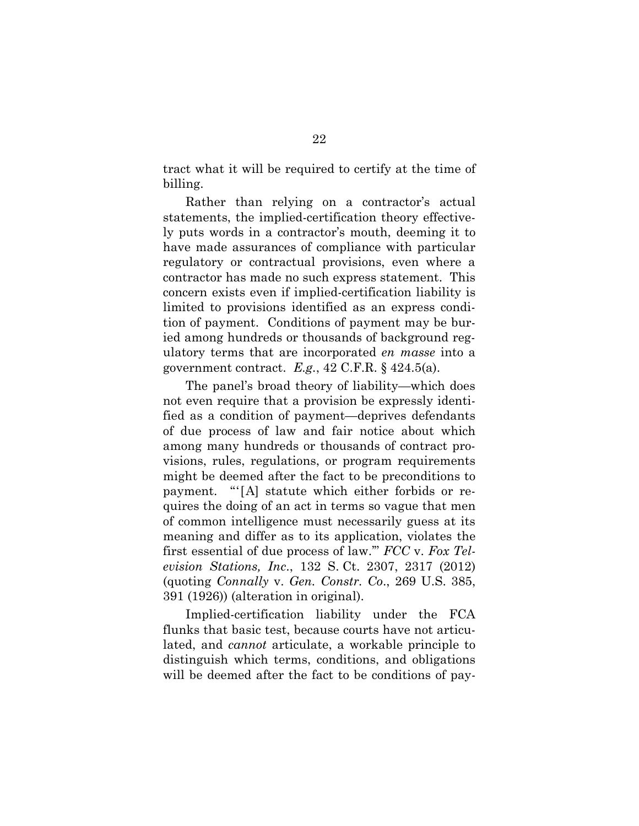tract what it will be required to certify at the time of billing.

Rather than relying on a contractor's actual statements, the implied-certification theory effectively puts words in a contractor's mouth, deeming it to have made assurances of compliance with particular regulatory or contractual provisions, even where a contractor has made no such express statement. This concern exists even if implied-certification liability is limited to provisions identified as an express condition of payment. Conditions of payment may be buried among hundreds or thousands of background regulatory terms that are incorporated *en masse* into a government contract. *E.g.*, 42 C.F.R. § 424.5(a).

The panel's broad theory of liability—which does not even require that a provision be expressly identified as a condition of payment—deprives defendants of due process of law and fair notice about which among many hundreds or thousands of contract provisions, rules, regulations, or program requirements might be deemed after the fact to be preconditions to payment. "'[A] statute which either forbids or requires the doing of an act in terms so vague that men of common intelligence must necessarily guess at its meaning and differ as to its application, violates the first essential of due process of law.'" *FCC* v. *Fox Television Stations, Inc*., 132 S. Ct. 2307, 2317 (2012) (quoting *Connally* v. *Gen. Constr. Co*., 269 U.S. 385, 391 (1926)) (alteration in original).

Implied-certification liability under the FCA flunks that basic test, because courts have not articulated, and *cannot* articulate, a workable principle to distinguish which terms, conditions, and obligations will be deemed after the fact to be conditions of pay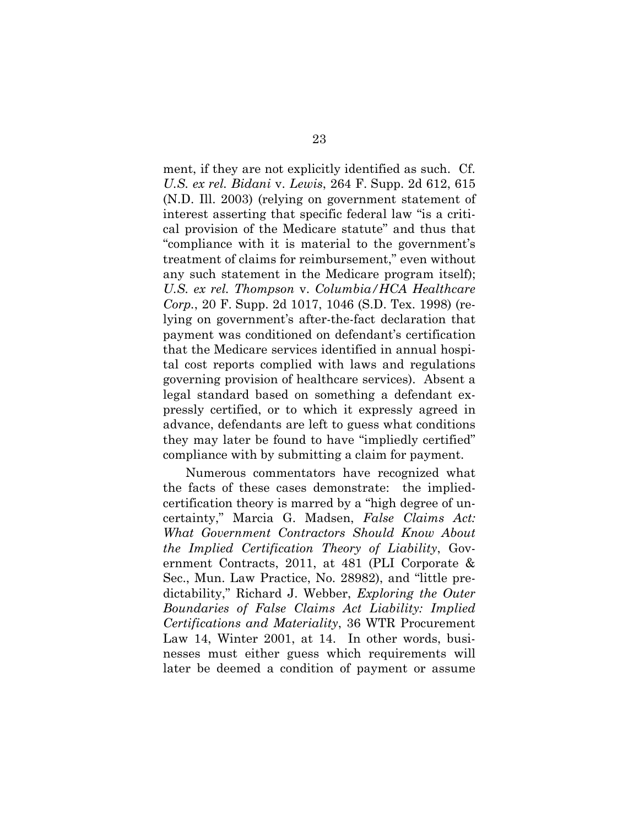ment, if they are not explicitly identified as such. Cf. *U.S. ex rel. Bidani* v. *Lewis*, 264 F. Supp. 2d 612, 615 (N.D. Ill. 2003) (relying on government statement of interest asserting that specific federal law "is a critical provision of the Medicare statute" and thus that "compliance with it is material to the government's treatment of claims for reimbursement," even without any such statement in the Medicare program itself); *U.S. ex rel. Thompson* v. *Columbia/HCA Healthcare Corp.*, 20 F. Supp. 2d 1017, 1046 (S.D. Tex. 1998) (relying on government's after-the-fact declaration that payment was conditioned on defendant's certification that the Medicare services identified in annual hospital cost reports complied with laws and regulations governing provision of healthcare services). Absent a legal standard based on something a defendant expressly certified, or to which it expressly agreed in advance, defendants are left to guess what conditions they may later be found to have "impliedly certified" compliance with by submitting a claim for payment.

Numerous commentators have recognized what the facts of these cases demonstrate: the impliedcertification theory is marred by a "high degree of uncertainty," Marcia G. Madsen, *False Claims Act: What Government Contractors Should Know About the Implied Certification Theory of Liability*, Government Contracts, 2011, at 481 (PLI Corporate & Sec., Mun. Law Practice, No. 28982), and "little predictability," Richard J. Webber, *Exploring the Outer Boundaries of False Claims Act Liability: Implied Certifications and Materiality*, 36 WTR Procurement Law 14, Winter 2001, at 14. In other words, businesses must either guess which requirements will later be deemed a condition of payment or assume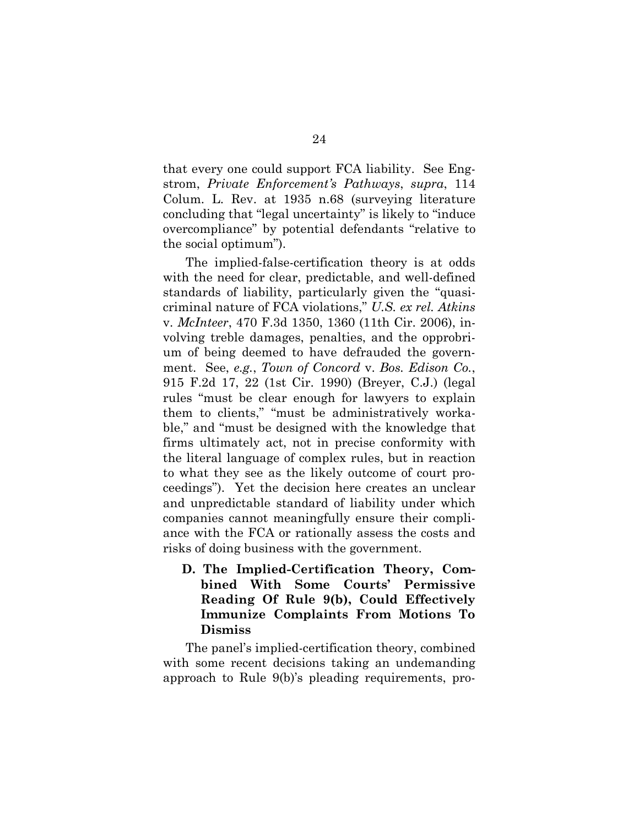that every one could support FCA liability. See Engstrom, *Private Enforcement's Pathways*, *supra*, 114 Colum. L. Rev. at 1935 n.68 (surveying literature concluding that "legal uncertainty" is likely to "induce overcompliance" by potential defendants "relative to the social optimum").

The implied-false-certification theory is at odds with the need for clear, predictable, and well-defined standards of liability, particularly given the "quasicriminal nature of FCA violations," *U.S. ex rel. Atkins* v. *McInteer*, 470 F.3d 1350, 1360 (11th Cir. 2006), involving treble damages, penalties, and the opprobrium of being deemed to have defrauded the government. See, *e.g.*, *Town of Concord* v. *Bos. Edison Co.*, 915 F.2d 17, 22 (1st Cir. 1990) (Breyer, C.J.) (legal rules "must be clear enough for lawyers to explain them to clients," "must be administratively workable," and "must be designed with the knowledge that firms ultimately act, not in precise conformity with the literal language of complex rules, but in reaction to what they see as the likely outcome of court proceedings"). Yet the decision here creates an unclear and unpredictable standard of liability under which companies cannot meaningfully ensure their compliance with the FCA or rationally assess the costs and risks of doing business with the government.

**D. The Implied-Certification Theory, Combined With Some Courts' Permissive Reading Of Rule 9(b), Could Effectively Immunize Complaints From Motions To Dismiss** 

The panel's implied-certification theory, combined with some recent decisions taking an undemanding approach to Rule 9(b)'s pleading requirements, pro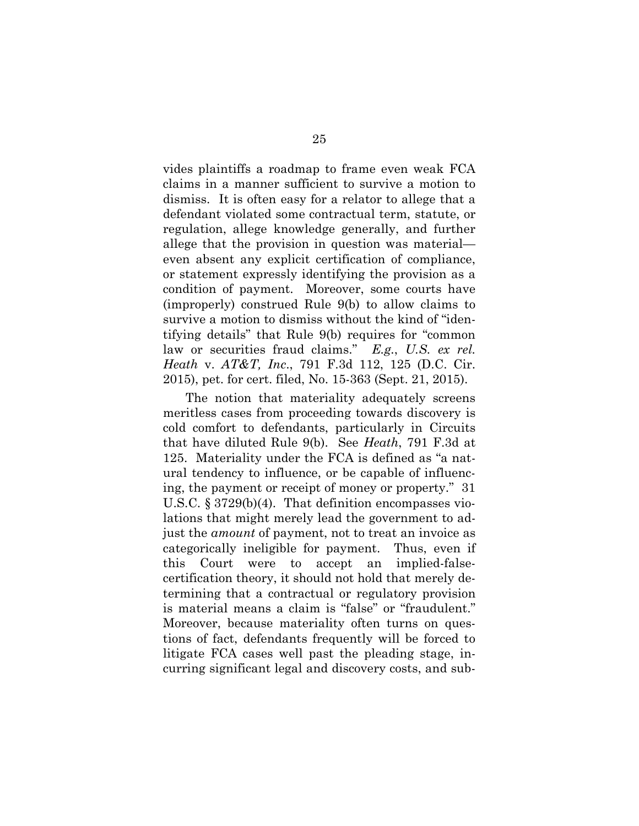vides plaintiffs a roadmap to frame even weak FCA claims in a manner sufficient to survive a motion to dismiss. It is often easy for a relator to allege that a defendant violated some contractual term, statute, or regulation, allege knowledge generally, and further allege that the provision in question was material even absent any explicit certification of compliance, or statement expressly identifying the provision as a condition of payment. Moreover, some courts have (improperly) construed Rule 9(b) to allow claims to survive a motion to dismiss without the kind of "identifying details" that Rule 9(b) requires for "common law or securities fraud claims." *E.g.*, *U.S. ex rel. Heath* v. *AT&T, Inc*., 791 F.3d 112, 125 (D.C. Cir. 2015), pet. for cert. filed, No. 15-363 (Sept. 21, 2015).

The notion that materiality adequately screens meritless cases from proceeding towards discovery is cold comfort to defendants, particularly in Circuits that have diluted Rule 9(b). See *Heath*, 791 F.3d at 125. Materiality under the FCA is defined as "a natural tendency to influence, or be capable of influencing, the payment or receipt of money or property." 31 U.S.C. § 3729(b)(4). That definition encompasses violations that might merely lead the government to adjust the *amount* of payment, not to treat an invoice as categorically ineligible for payment. Thus, even if this Court were to accept an implied-falsecertification theory, it should not hold that merely determining that a contractual or regulatory provision is material means a claim is "false" or "fraudulent." Moreover, because materiality often turns on questions of fact, defendants frequently will be forced to litigate FCA cases well past the pleading stage, incurring significant legal and discovery costs, and sub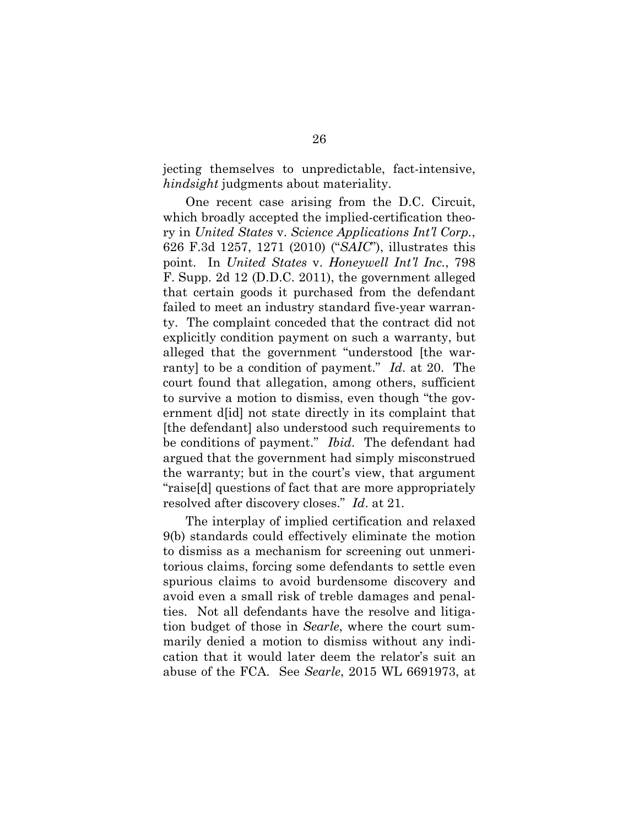jecting themselves to unpredictable, fact-intensive, *hindsight* judgments about materiality.

One recent case arising from the D.C. Circuit, which broadly accepted the implied-certification theory in *United States* v. *Science Applications Int'l Corp.*, 626 F.3d 1257, 1271 (2010) ("*SAIC*"), illustrates this point. In *United States* v. *Honeywell Int'l Inc.*, 798 F. Supp. 2d 12 (D.D.C. 2011), the government alleged that certain goods it purchased from the defendant failed to meet an industry standard five-year warranty. The complaint conceded that the contract did not explicitly condition payment on such a warranty, but alleged that the government "understood [the warranty] to be a condition of payment." *Id*. at 20. The court found that allegation, among others, sufficient to survive a motion to dismiss, even though "the government d[id] not state directly in its complaint that [the defendant] also understood such requirements to be conditions of payment." *Ibid*. The defendant had argued that the government had simply misconstrued the warranty; but in the court's view, that argument "raise[d] questions of fact that are more appropriately resolved after discovery closes." *Id*. at 21.

The interplay of implied certification and relaxed 9(b) standards could effectively eliminate the motion to dismiss as a mechanism for screening out unmeritorious claims, forcing some defendants to settle even spurious claims to avoid burdensome discovery and avoid even a small risk of treble damages and penalties. Not all defendants have the resolve and litigation budget of those in *Searle*, where the court summarily denied a motion to dismiss without any indication that it would later deem the relator's suit an abuse of the FCA. See *Searle*, 2015 WL 6691973, at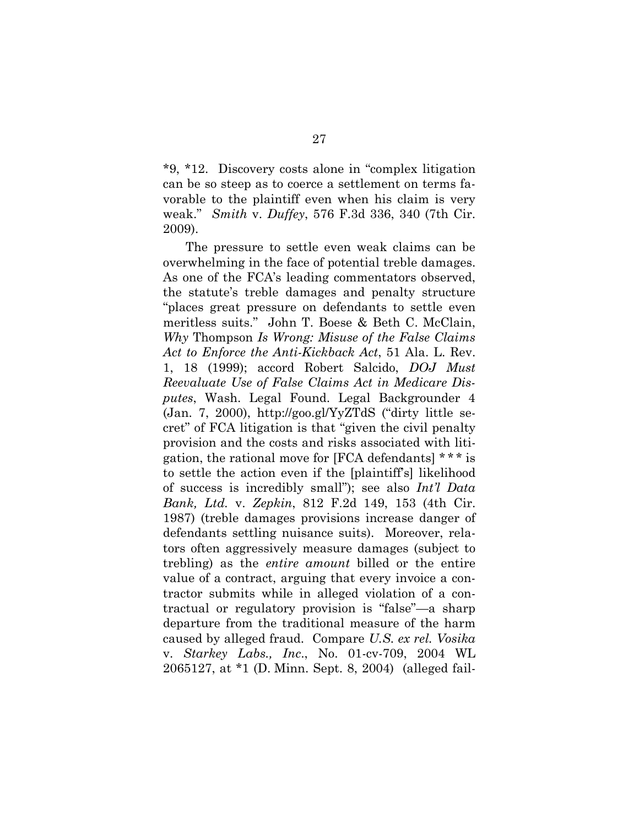\*9, \*12. Discovery costs alone in "complex litigation can be so steep as to coerce a settlement on terms favorable to the plaintiff even when his claim is very weak." *Smith* v. *Duffey*, 576 F.3d 336, 340 (7th Cir. 2009).

The pressure to settle even weak claims can be overwhelming in the face of potential treble damages. As one of the FCA's leading commentators observed, the statute's treble damages and penalty structure "places great pressure on defendants to settle even meritless suits." John T. Boese & Beth C. McClain, *Why* Thompson *Is Wrong: Misuse of the False Claims Act to Enforce the Anti-Kickback Act*, 51 Ala. L. Rev. 1, 18 (1999); accord Robert Salcido, *DOJ Must Reevaluate Use of False Claims Act in Medicare Disputes*, Wash. Legal Found. Legal Backgrounder 4 (Jan. 7, 2000), http://goo.gl/YyZTdS ("dirty little secret" of FCA litigation is that "given the civil penalty provision and the costs and risks associated with litigation, the rational move for [FCA defendants]  $***$  is to settle the action even if the [plaintiff's] likelihood of success is incredibly small"); see also *Int'l Data Bank, Ltd.* v. *Zepkin*, 812 F.2d 149, 153 (4th Cir. 1987) (treble damages provisions increase danger of defendants settling nuisance suits). Moreover, relators often aggressively measure damages (subject to trebling) as the *entire amount* billed or the entire value of a contract, arguing that every invoice a contractor submits while in alleged violation of a contractual or regulatory provision is "false"—a sharp departure from the traditional measure of the harm caused by alleged fraud. Compare *U.S. ex rel. Vosika* v. *Starkey Labs., Inc*., No. 01-cv-709, 2004 WL 2065127, at \*1 (D. Minn. Sept. 8, 2004) (alleged fail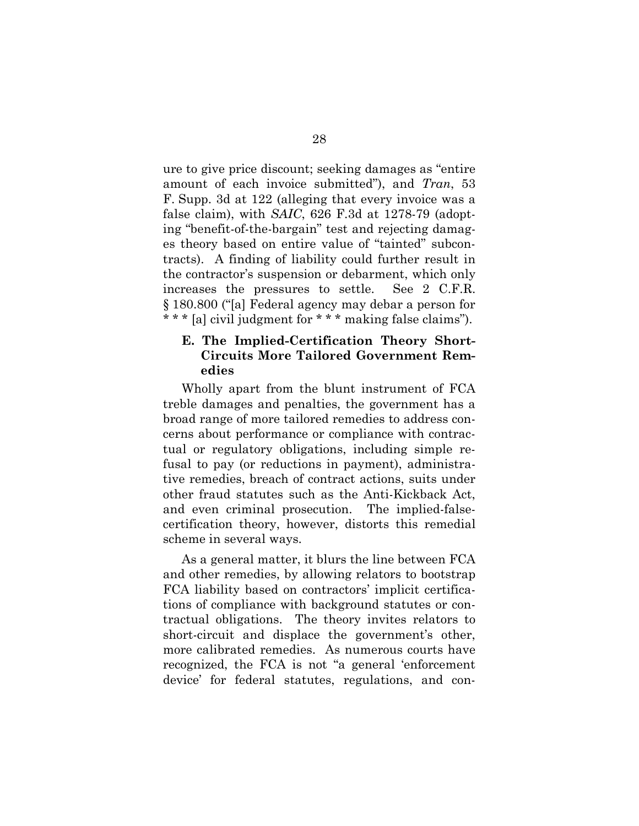ure to give price discount; seeking damages as "entire amount of each invoice submitted"), and *Tran*, 53 F. Supp. 3d at 122 (alleging that every invoice was a false claim), with *SAIC*, 626 F.3d at 1278-79 (adopting "benefit-of-the-bargain" test and rejecting damages theory based on entire value of "tainted" subcontracts). A finding of liability could further result in the contractor's suspension or debarment, which only increases the pressures to settle. See 2 C.F.R. § 180.800 ("[a] Federal agency may debar a person for \* \* \* [a] civil judgment for \* \* \* making false claims").

### **E. The Implied-Certification Theory Short-Circuits More Tailored Government Remedies**

Wholly apart from the blunt instrument of FCA treble damages and penalties, the government has a broad range of more tailored remedies to address concerns about performance or compliance with contractual or regulatory obligations, including simple refusal to pay (or reductions in payment), administrative remedies, breach of contract actions, suits under other fraud statutes such as the Anti-Kickback Act, and even criminal prosecution. The implied-falsecertification theory, however, distorts this remedial scheme in several ways.

As a general matter, it blurs the line between FCA and other remedies, by allowing relators to bootstrap FCA liability based on contractors' implicit certifications of compliance with background statutes or contractual obligations. The theory invites relators to short-circuit and displace the government's other, more calibrated remedies. As numerous courts have recognized, the FCA is not "a general 'enforcement device' for federal statutes, regulations, and con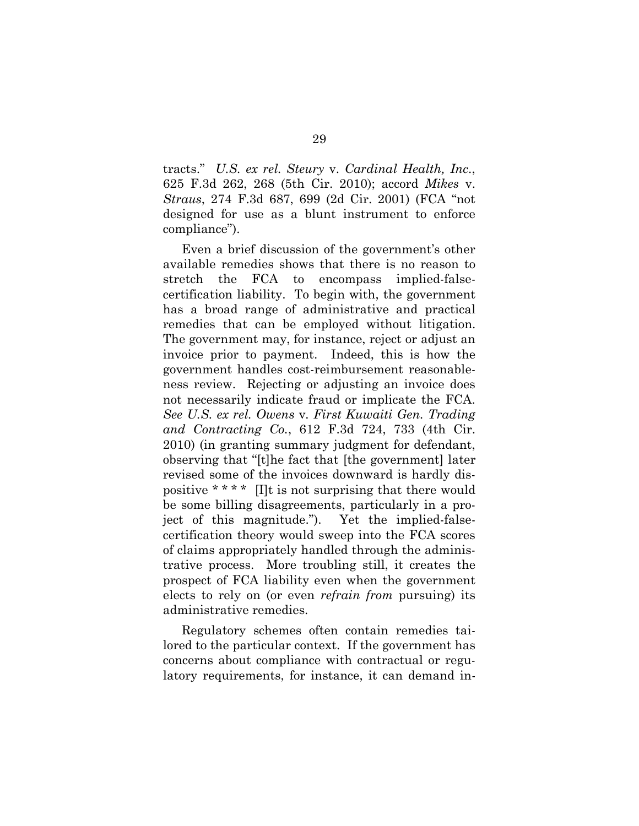tracts." *U.S. ex rel. Steury* v. *Cardinal Health, Inc*., 625 F.3d 262, 268 (5th Cir. 2010); accord *Mikes* v. *Straus*, 274 F.3d 687, 699 (2d Cir. 2001) (FCA "not designed for use as a blunt instrument to enforce compliance").

Even a brief discussion of the government's other available remedies shows that there is no reason to stretch the FCA to encompass implied-falsecertification liability. To begin with, the government has a broad range of administrative and practical remedies that can be employed without litigation. The government may, for instance, reject or adjust an invoice prior to payment. Indeed, this is how the government handles cost-reimbursement reasonableness review. Rejecting or adjusting an invoice does not necessarily indicate fraud or implicate the FCA. *See U.S. ex rel. Owens* v*. First Kuwaiti Gen. Trading and Contracting Co.*, 612 F.3d 724, 733 (4th Cir. 2010) (in granting summary judgment for defendant, observing that "[t]he fact that [the government] later revised some of the invoices downward is hardly dispositive \* \* \* \* [I]t is not surprising that there would be some billing disagreements, particularly in a project of this magnitude."). Yet the implied-falsecertification theory would sweep into the FCA scores of claims appropriately handled through the administrative process. More troubling still, it creates the prospect of FCA liability even when the government elects to rely on (or even *refrain from* pursuing) its administrative remedies.

Regulatory schemes often contain remedies tailored to the particular context. If the government has concerns about compliance with contractual or regulatory requirements, for instance, it can demand in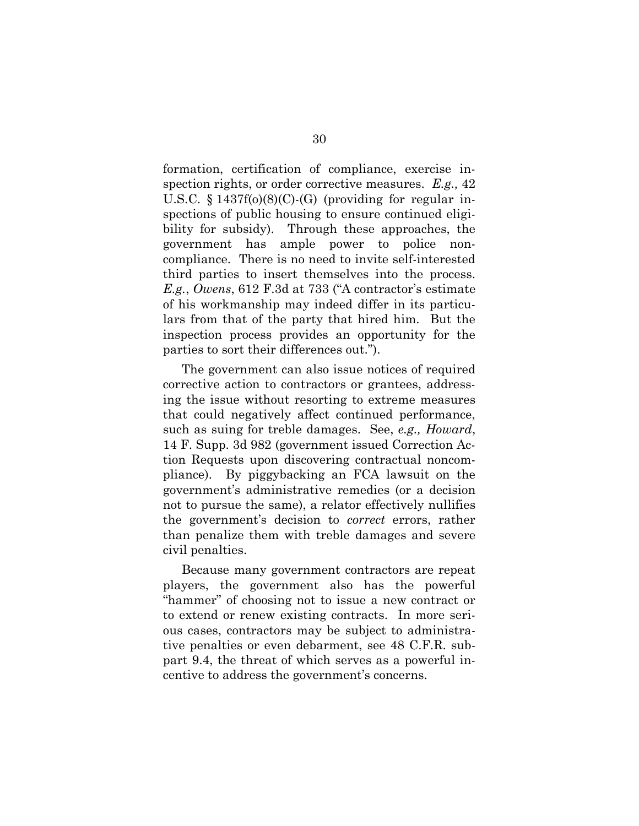formation, certification of compliance, exercise inspection rights, or order corrective measures. *E.g.,* 42 U.S.C.  $\S 1437f(0)(8)(C)$ -(G) (providing for regular inspections of public housing to ensure continued eligibility for subsidy). Through these approaches, the government has ample power to police noncompliance. There is no need to invite self-interested third parties to insert themselves into the process. *E.g.*, *Owens*, 612 F.3d at 733 ("A contractor's estimate of his workmanship may indeed differ in its particulars from that of the party that hired him. But the inspection process provides an opportunity for the parties to sort their differences out.").

The government can also issue notices of required corrective action to contractors or grantees, addressing the issue without resorting to extreme measures that could negatively affect continued performance, such as suing for treble damages. See, *e.g., Howard*, 14 F. Supp. 3d 982 (government issued Correction Action Requests upon discovering contractual noncompliance). By piggybacking an FCA lawsuit on the government's administrative remedies (or a decision not to pursue the same), a relator effectively nullifies the government's decision to *correct* errors, rather than penalize them with treble damages and severe civil penalties.

Because many government contractors are repeat players, the government also has the powerful "hammer" of choosing not to issue a new contract or to extend or renew existing contracts. In more serious cases, contractors may be subject to administrative penalties or even debarment, see 48 C.F.R. subpart 9.4, the threat of which serves as a powerful incentive to address the government's concerns.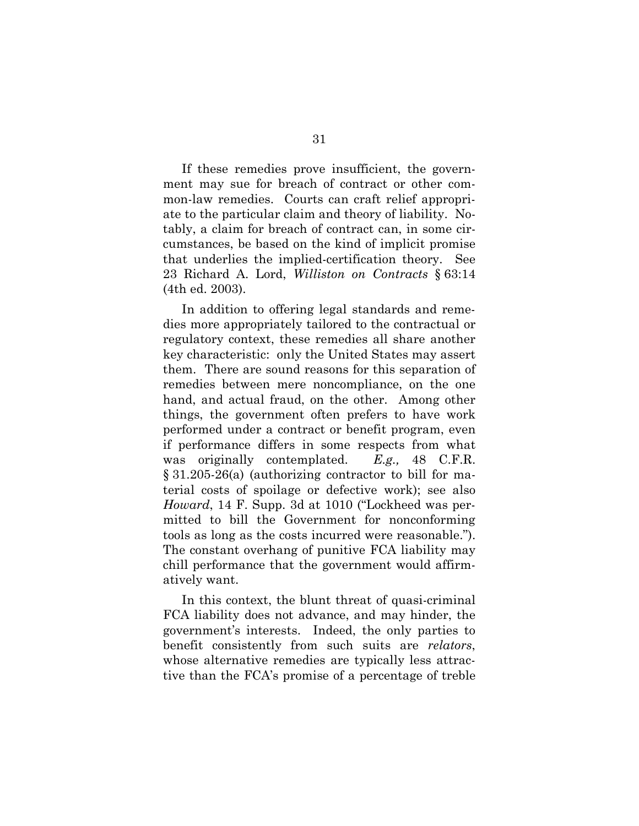If these remedies prove insufficient, the government may sue for breach of contract or other common-law remedies. Courts can craft relief appropriate to the particular claim and theory of liability. Notably, a claim for breach of contract can, in some circumstances, be based on the kind of implicit promise that underlies the implied-certification theory. See 23 Richard A. Lord, *Williston on Contracts* § 63:14 (4th ed. 2003).

In addition to offering legal standards and remedies more appropriately tailored to the contractual or regulatory context, these remedies all share another key characteristic: only the United States may assert them. There are sound reasons for this separation of remedies between mere noncompliance, on the one hand, and actual fraud, on the other. Among other things, the government often prefers to have work performed under a contract or benefit program, even if performance differs in some respects from what was originally contemplated. *E.g.,* 48 C.F.R. § 31.205-26(a) (authorizing contractor to bill for material costs of spoilage or defective work); see also *Howard*, 14 F. Supp. 3d at 1010 ("Lockheed was permitted to bill the Government for nonconforming tools as long as the costs incurred were reasonable."). The constant overhang of punitive FCA liability may chill performance that the government would affirmatively want.

In this context, the blunt threat of quasi-criminal FCA liability does not advance, and may hinder, the government's interests. Indeed, the only parties to benefit consistently from such suits are *relators*, whose alternative remedies are typically less attractive than the FCA's promise of a percentage of treble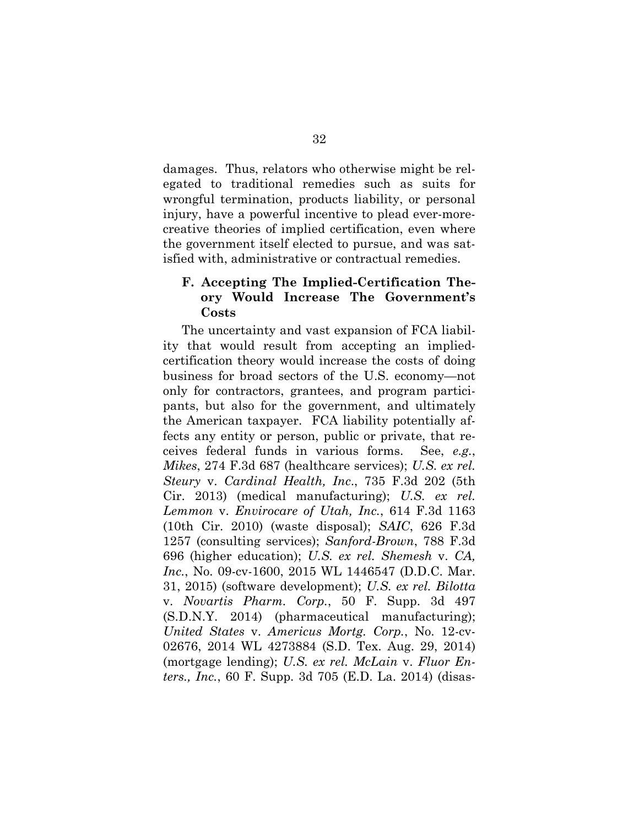damages. Thus, relators who otherwise might be relegated to traditional remedies such as suits for wrongful termination, products liability, or personal injury, have a powerful incentive to plead ever-morecreative theories of implied certification, even where the government itself elected to pursue, and was satisfied with, administrative or contractual remedies.

### **F. Accepting The Implied-Certification Theory Would Increase The Government's Costs**

The uncertainty and vast expansion of FCA liability that would result from accepting an impliedcertification theory would increase the costs of doing business for broad sectors of the U.S. economy—not only for contractors, grantees, and program participants, but also for the government, and ultimately the American taxpayer. FCA liability potentially affects any entity or person, public or private, that receives federal funds in various forms. See, *e.g.*, *Mikes*, 274 F.3d 687 (healthcare services); *U.S. ex rel. Steury* v. *Cardinal Health, Inc*., 735 F.3d 202 (5th Cir. 2013) (medical manufacturing); *U.S. ex rel. Lemmon* v. *Envirocare of Utah, Inc.*, 614 F.3d 1163 (10th Cir. 2010) (waste disposal); *SAIC*, 626 F.3d 1257 (consulting services); *Sanford-Brown*, 788 F.3d 696 (higher education); *U.S. ex rel. Shemesh* v. *CA, Inc.*, No. 09-cv-1600, 2015 WL 1446547 (D.D.C. Mar. 31, 2015) (software development); *U.S. ex rel. Bilotta*  v. *Novartis Pharm. Corp.*, 50 F. Supp. 3d 497 (S.D.N.Y. 2014) (pharmaceutical manufacturing); *United States* v. *Americus Mortg. Corp.*, No. 12-cv-02676, 2014 WL 4273884 (S.D. Tex. Aug. 29, 2014) (mortgage lending); *U.S. ex rel. McLain* v. *Fluor Enters., Inc.*, 60 F. Supp. 3d 705 (E.D. La. 2014) (disas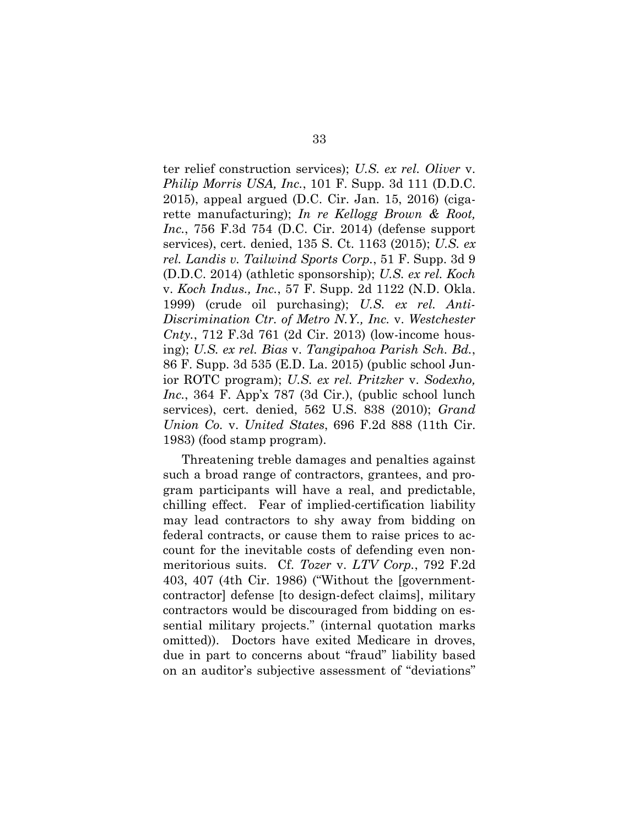ter relief construction services); *U.S. ex rel. Oliver* v. *Philip Morris USA, Inc.*, 101 F. Supp. 3d 111 (D.D.C. 2015), appeal argued (D.C. Cir. Jan. 15, 2016) (cigarette manufacturing); *In re Kellogg Brown & Root, Inc.*, 756 F.3d 754 (D.C. Cir. 2014) (defense support services), cert. denied, 135 S. Ct. 1163 (2015); *U.S. ex rel. Landis v. Tailwind Sports Corp.*, 51 F. Supp. 3d 9 (D.D.C. 2014) (athletic sponsorship); *U.S. ex rel. Koch*  v. *Koch Indus., Inc.*, 57 F. Supp. 2d 1122 (N.D. Okla. 1999) (crude oil purchasing); *U.S. ex rel. Anti-Discrimination Ctr. of Metro N.Y., Inc.* v. *Westchester Cnty.*, 712 F.3d 761 (2d Cir. 2013) (low-income housing); *U.S. ex rel. Bias* v. *Tangipahoa Parish Sch. Bd.*, 86 F. Supp. 3d 535 (E.D. La. 2015) (public school Junior ROTC program); *U.S. ex rel. Pritzker* v. *Sodexho, Inc.*, 364 F. App'x 787 (3d Cir.), (public school lunch services), cert. denied, 562 U.S. 838 (2010); *Grand Union Co.* v. *United States*, 696 F.2d 888 (11th Cir. 1983) (food stamp program).

Threatening treble damages and penalties against such a broad range of contractors, grantees, and program participants will have a real, and predictable, chilling effect. Fear of implied-certification liability may lead contractors to shy away from bidding on federal contracts, or cause them to raise prices to account for the inevitable costs of defending even nonmeritorious suits. Cf. *Tozer* v. *LTV Corp.*, 792 F.2d 403, 407 (4th Cir. 1986) ("Without the [governmentcontractor] defense [to design-defect claims], military contractors would be discouraged from bidding on essential military projects." (internal quotation marks omitted)). Doctors have exited Medicare in droves, due in part to concerns about "fraud" liability based on an auditor's subjective assessment of "deviations"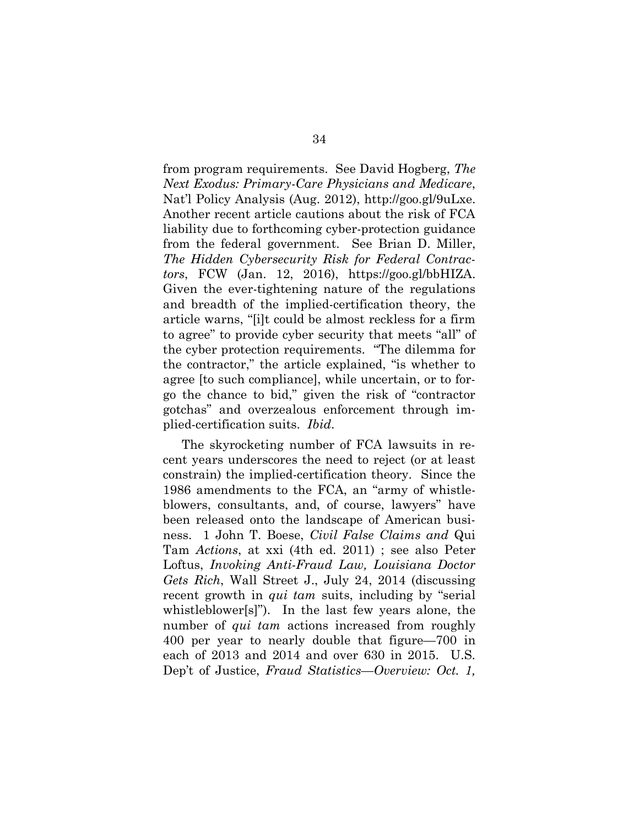from program requirements. See David Hogberg, *The Next Exodus: Primary-Care Physicians and Medicare*, Nat'l Policy Analysis (Aug. 2012), http://goo.gl/9uLxe. Another recent article cautions about the risk of FCA liability due to forthcoming cyber-protection guidance from the federal government. See Brian D. Miller, *The Hidden Cybersecurity Risk for Federal Contractors*, FCW (Jan. 12, 2016), https://goo.gl/bbHIZA. Given the ever-tightening nature of the regulations and breadth of the implied-certification theory, the article warns, "[i]t could be almost reckless for a firm to agree" to provide cyber security that meets "all" of the cyber protection requirements. "The dilemma for the contractor," the article explained, "is whether to agree [to such compliance], while uncertain, or to forgo the chance to bid," given the risk of "contractor gotchas" and overzealous enforcement through implied-certification suits. *Ibid*.

The skyrocketing number of FCA lawsuits in recent years underscores the need to reject (or at least constrain) the implied-certification theory. Since the 1986 amendments to the FCA, an "army of whistleblowers, consultants, and, of course, lawyers" have been released onto the landscape of American business. 1 John T. Boese, *Civil False Claims and* Qui Tam *Actions*, at xxi (4th ed. 2011) ; see also Peter Loftus, *Invoking Anti-Fraud Law, Louisiana Doctor Gets Rich*, Wall Street J., July 24, 2014 (discussing recent growth in *qui tam* suits, including by "serial whistleblower[s]"). In the last few years alone, the number of *qui tam* actions increased from roughly 400 per year to nearly double that figure—700 in each of 2013 and 2014 and over 630 in 2015. U.S. Dep't of Justice, *Fraud Statistics—Overview: Oct. 1,*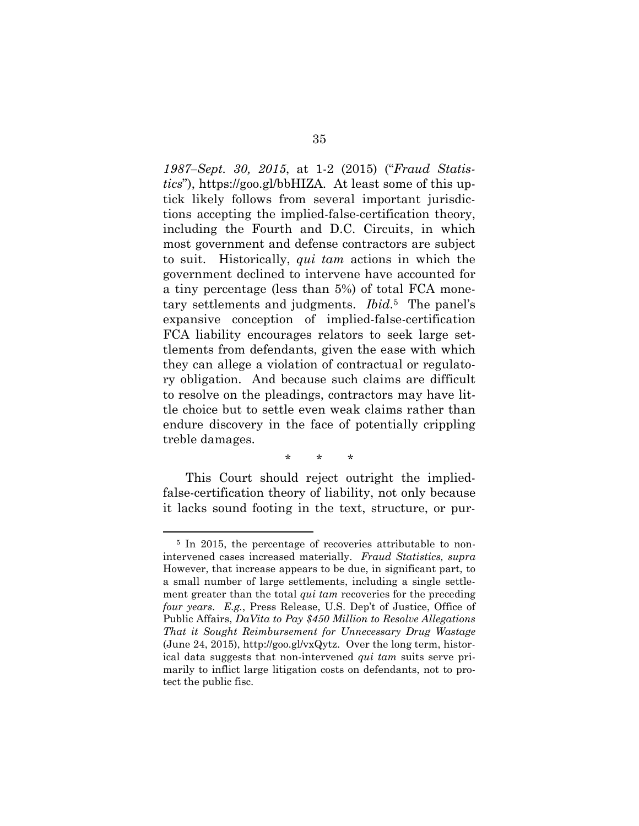*1987–Sept. 30, 2015*, at 1-2 (2015) ("*Fraud Statistics*"), https://goo.gl/bbHIZA. At least some of this uptick likely follows from several important jurisdictions accepting the implied-false-certification theory, including the Fourth and D.C. Circuits, in which most government and defense contractors are subject to suit. Historically, *qui tam* actions in which the government declined to intervene have accounted for a tiny percentage (less than 5%) of total FCA monetary settlements and judgments. *Ibid*. <sup>5</sup> The panel's expansive conception of implied-false-certification FCA liability encourages relators to seek large settlements from defendants, given the ease with which they can allege a violation of contractual or regulatory obligation. And because such claims are difficult to resolve on the pleadings, contractors may have little choice but to settle even weak claims rather than endure discovery in the face of potentially crippling treble damages.

\* \* \*

This Court should reject outright the impliedfalse-certification theory of liability, not only because it lacks sound footing in the text, structure, or pur-

<sup>&</sup>lt;sup>5</sup> In 2015, the percentage of recoveries attributable to nonintervened cases increased materially. *Fraud Statistics, supra* However, that increase appears to be due, in significant part, to a small number of large settlements, including a single settlement greater than the total *qui tam* recoveries for the preceding *four years*. *E.g.*, Press Release, U.S. Dep't of Justice, Office of Public Affairs, *DaVita to Pay \$450 Million to Resolve Allegations That it Sought Reimbursement for Unnecessary Drug Wastage* (June 24, 2015), http://goo.gl/vxQytz. Over the long term, historical data suggests that non-intervened *qui tam* suits serve primarily to inflict large litigation costs on defendants, not to protect the public fisc.